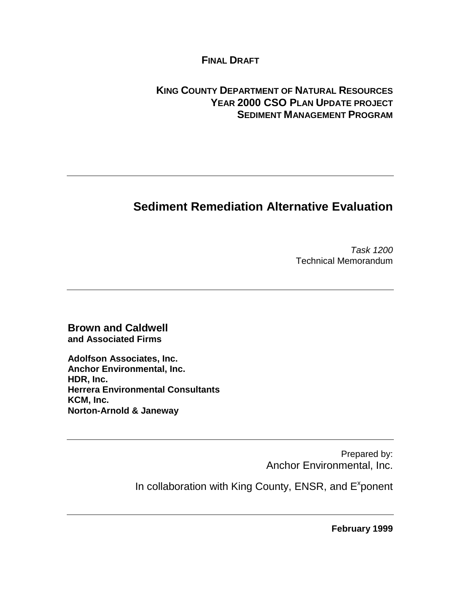### **FINAL DRAFT**

## **KING COUNTY DEPARTMENT OF NATURAL RESOURCES YEAR 2000 CSO PLAN UPDATE PROJECT SEDIMENT MANAGEMENT PROGRAM**

# **Sediment Remediation Alternative Evaluation**

Task 1200 Technical Memorandum

**Brown and Caldwell and Associated Firms**

**Adolfson Associates, Inc. Anchor Environmental, Inc. HDR, Inc. Herrera Environmental Consultants KCM, Inc. Norton-Arnold & Janeway**

> Prepared by: Anchor Environmental, Inc.

In collaboration with King County, ENSR, and E<sup>x</sup>ponent

**February 1999**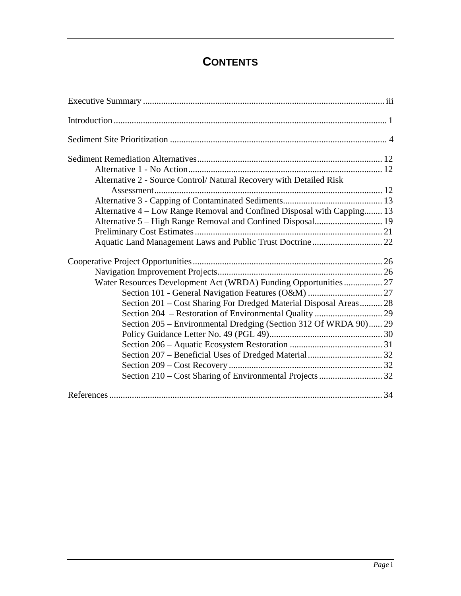# **CONTENTS**

| Alternative 2 - Source Control/ Natural Recovery with Detailed Risk     |  |
|-------------------------------------------------------------------------|--|
|                                                                         |  |
|                                                                         |  |
| Alternative 4 – Low Range Removal and Confined Disposal with Capping 13 |  |
|                                                                         |  |
|                                                                         |  |
|                                                                         |  |
|                                                                         |  |
|                                                                         |  |
|                                                                         |  |
|                                                                         |  |
| Section 201 – Cost Sharing For Dredged Material Disposal Areas 28       |  |
|                                                                         |  |
| Section 205 – Environmental Dredging (Section 312 Of WRDA 90) 29        |  |
|                                                                         |  |
|                                                                         |  |
|                                                                         |  |
|                                                                         |  |
|                                                                         |  |
|                                                                         |  |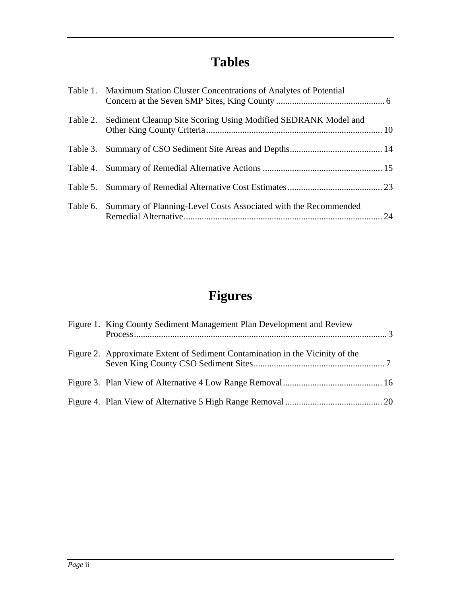# **Tables**

| Table 1. Maximum Station Cluster Concentrations of Analytes of Potential |  |
|--------------------------------------------------------------------------|--|
| Table 2. Sediment Cleanup Site Scoring Using Modified SEDRANK Model and  |  |
|                                                                          |  |
|                                                                          |  |
|                                                                          |  |
| Table 6. Summary of Planning-Level Costs Associated with the Recommended |  |

# **Figures**

| Figure 1. King County Sediment Management Plan Development and Review         |  |
|-------------------------------------------------------------------------------|--|
| Figure 2. Approximate Extent of Sediment Contamination in the Vicinity of the |  |
|                                                                               |  |
|                                                                               |  |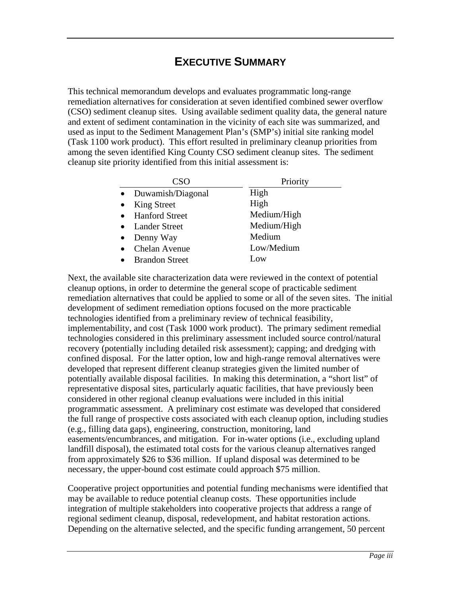# **EXECUTIVE SUMMARY**

This technical memorandum develops and evaluates programmatic long-range remediation alternatives for consideration at seven identified combined sewer overflow (CSO) sediment cleanup sites. Using available sediment quality data, the general nature and extent of sediment contamination in the vicinity of each site was summarized, and used as input to the Sediment Management Plan's (SMP's) initial site ranking model (Task 1100 work product). This effort resulted in preliminary cleanup priorities from among the seven identified King County CSO sediment cleanup sites. The sediment cleanup site priority identified from this initial assessment is:

| CSO                   | Priority    |
|-----------------------|-------------|
| • Duwamish/Diagonal   | High        |
| King Street           | High        |
| • Hanford Street      | Medium/High |
| • Lander Street       | Medium/High |
| Denny Way             | Medium      |
| Chelan Avenue         | Low/Medium  |
| <b>Brandon Street</b> | Low         |

Next, the available site characterization data were reviewed in the context of potential cleanup options, in order to determine the general scope of practicable sediment remediation alternatives that could be applied to some or all of the seven sites. The initial development of sediment remediation options focused on the more practicable technologies identified from a preliminary review of technical feasibility, implementability, and cost (Task 1000 work product). The primary sediment remedial technologies considered in this preliminary assessment included source control/natural recovery (potentially including detailed risk assessment); capping; and dredging with confined disposal. For the latter option, low and high-range removal alternatives were developed that represent different cleanup strategies given the limited number of potentially available disposal facilities. In making this determination, a "short list" of representative disposal sites, particularly aquatic facilities, that have previously been considered in other regional cleanup evaluations were included in this initial programmatic assessment. A preliminary cost estimate was developed that considered the full range of prospective costs associated with each cleanup option, including studies (e.g., filling data gaps), engineering, construction, monitoring, land easements/encumbrances, and mitigation. For in-water options (i.e., excluding upland landfill disposal), the estimated total costs for the various cleanup alternatives ranged from approximately \$26 to \$36 million. If upland disposal was determined to be necessary, the upper-bound cost estimate could approach \$75 million.

Cooperative project opportunities and potential funding mechanisms were identified that may be available to reduce potential cleanup costs. These opportunities include integration of multiple stakeholders into cooperative projects that address a range of regional sediment cleanup, disposal, redevelopment, and habitat restoration actions. Depending on the alternative selected, and the specific funding arrangement, 50 percent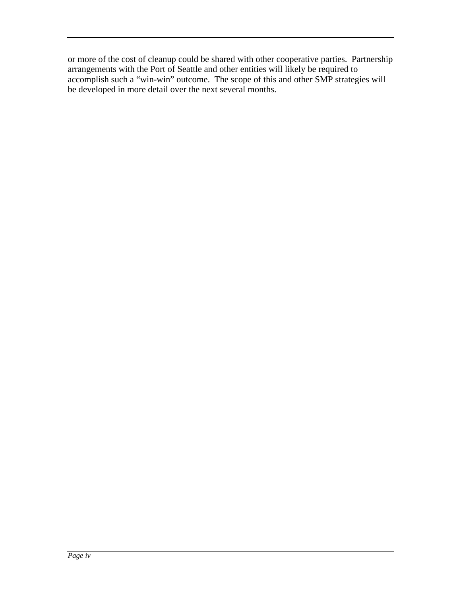or more of the cost of cleanup could be shared with other cooperative parties. Partnership arrangements with the Port of Seattle and other entities will likely be required to accomplish such a "win-win" outcome. The scope of this and other SMP strategies will be developed in more detail over the next several months.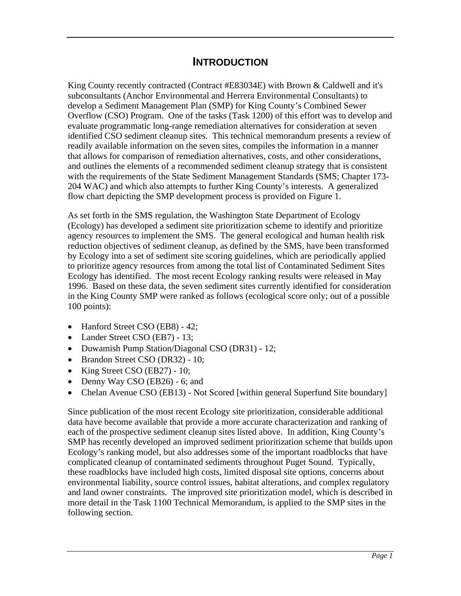## **INTRODUCTION**

King County recently contracted (Contract #E83034E) with Brown & Caldwell and it's subconsultants (Anchor Environmental and Herrera Environmental Consultants) to develop a Sediment Management Plan (SMP) for King County's Combined Sewer Overflow (CSO) Program. One of the tasks (Task 1200) of this effort was to develop and evaluate programmatic long-range remediation alternatives for consideration at seven identified CSO sediment cleanup sites. This technical memorandum presents a review of readily available information on the seven sites, compiles the information in a manner that allows for comparison of remediation alternatives, costs, and other considerations, and outlines the elements of a recommended sediment cleanup strategy that is consistent with the requirements of the State Sediment Management Standards (SMS; Chapter 173- 204 WAC) and which also attempts to further King County's interests. A generalized flow chart depicting the SMP development process is provided on Figure 1.

As set forth in the SMS regulation, the Washington State Department of Ecology (Ecology) has developed a sediment site prioritization scheme to identify and prioritize agency resources to implement the SMS. The general ecological and human health risk reduction objectives of sediment cleanup, as defined by the SMS, have been transformed by Ecology into a set of sediment site scoring guidelines, which are periodically applied to prioritize agency resources from among the total list of Contaminated Sediment Sites Ecology has identified. The most recent Ecology ranking results were released in May 1996. Based on these data, the seven sediment sites currently identified for consideration in the King County SMP were ranked as follows (ecological score only; out of a possible 100 points):

- Hanford Street CSO (EB8) 42;
- Lander Street CSO (EB7) 13;
- Duwamish Pump Station/Diagonal CSO (DR31) 12;
- Brandon Street CSO (DR32) 10;
- King Street CSO (EB27) 10;
- Denny Way CSO (EB26) 6; and
- Chelan Avenue CSO (EB13) Not Scored [within general Superfund Site boundary]

Since publication of the most recent Ecology site prioritization, considerable additional data have become available that provide a more accurate characterization and ranking of each of the prospective sediment cleanup sites listed above. In addition, King County's SMP has recently developed an improved sediment prioritization scheme that builds upon Ecology's ranking model, but also addresses some of the important roadblocks that have complicated cleanup of contaminated sediments throughout Puget Sound. Typically, these roadblocks have included high costs, limited disposal site options, concerns about environmental liability, source control issues, habitat alterations, and complex regulatory and land owner constraints. The improved site prioritization model, which is described in more detail in the Task 1100 Technical Memorandum, is applied to the SMP sites in the following section.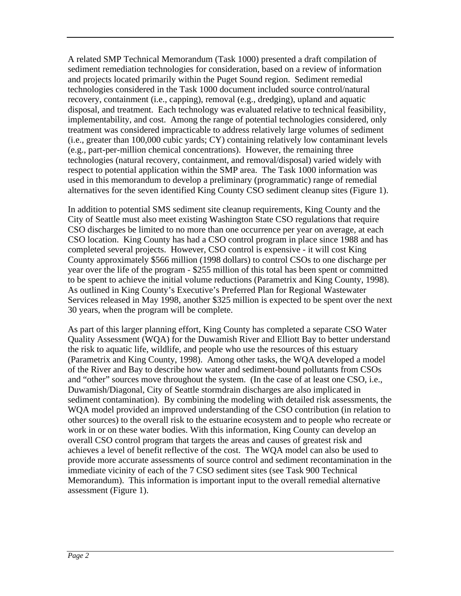A related SMP Technical Memorandum (Task 1000) presented a draft compilation of sediment remediation technologies for consideration, based on a review of information and projects located primarily within the Puget Sound region. Sediment remedial technologies considered in the Task 1000 document included source control/natural recovery, containment (i.e., capping), removal (e.g., dredging), upland and aquatic disposal, and treatment. Each technology was evaluated relative to technical feasibility, implementability, and cost. Among the range of potential technologies considered, only treatment was considered impracticable to address relatively large volumes of sediment (i.e., greater than 100,000 cubic yards; CY) containing relatively low contaminant levels (e.g., part-per-million chemical concentrations). However, the remaining three technologies (natural recovery, containment, and removal/disposal) varied widely with respect to potential application within the SMP area. The Task 1000 information was used in this memorandum to develop a preliminary (programmatic) range of remedial alternatives for the seven identified King County CSO sediment cleanup sites (Figure 1).

In addition to potential SMS sediment site cleanup requirements, King County and the City of Seattle must also meet existing Washington State CSO regulations that require CSO discharges be limited to no more than one occurrence per year on average, at each CSO location. King County has had a CSO control program in place since 1988 and has completed several projects. However, CSO control is expensive - it will cost King County approximately \$566 million (1998 dollars) to control CSOs to one discharge per year over the life of the program - \$255 million of this total has been spent or committed to be spent to achieve the initial volume reductions (Parametrix and King County, 1998). As outlined in King County's Executive's Preferred Plan for Regional Wastewater Services released in May 1998, another \$325 million is expected to be spent over the next 30 years, when the program will be complete.

As part of this larger planning effort, King County has completed a separate CSO Water Quality Assessment (WQA) for the Duwamish River and Elliott Bay to better understand the risk to aquatic life, wildlife, and people who use the resources of this estuary (Parametrix and King County, 1998). Among other tasks, the WQA developed a model of the River and Bay to describe how water and sediment-bound pollutants from CSOs and "other" sources move throughout the system. (In the case of at least one CSO, i.e., Duwamish/Diagonal, City of Seattle stormdrain discharges are also implicated in sediment contamination). By combining the modeling with detailed risk assessments, the WQA model provided an improved understanding of the CSO contribution (in relation to other sources) to the overall risk to the estuarine ecosystem and to people who recreate or work in or on these water bodies. With this information, King County can develop an overall CSO control program that targets the areas and causes of greatest risk and achieves a level of benefit reflective of the cost. The WQA model can also be used to provide more accurate assessments of source control and sediment recontamination in the immediate vicinity of each of the 7 CSO sediment sites (see Task 900 Technical Memorandum). This information is important input to the overall remedial alternative assessment (Figure 1).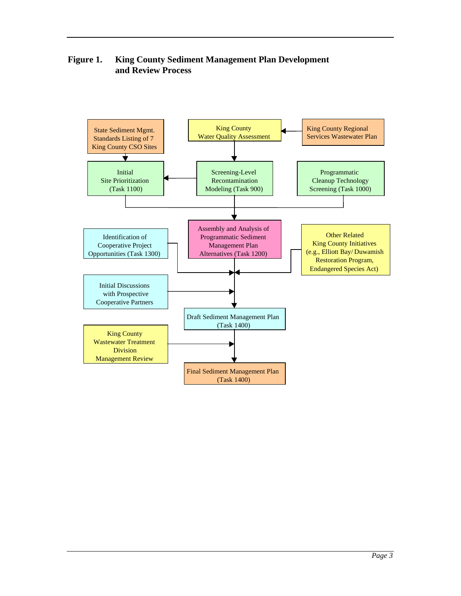**Figure 1. King County Sediment Management Plan Development and Review Process**

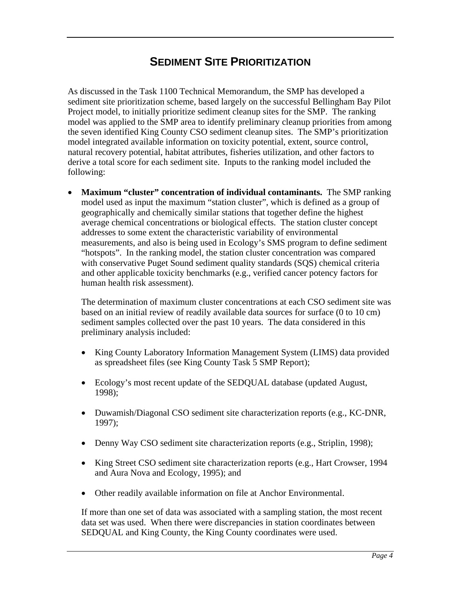# **SEDIMENT SITE PRIORITIZATION**

As discussed in the Task 1100 Technical Memorandum, the SMP has developed a sediment site prioritization scheme, based largely on the successful Bellingham Bay Pilot Project model, to initially prioritize sediment cleanup sites for the SMP. The ranking model was applied to the SMP area to identify preliminary cleanup priorities from among the seven identified King County CSO sediment cleanup sites. The SMP's prioritization model integrated available information on toxicity potential, extent, source control, natural recovery potential, habitat attributes, fisheries utilization, and other factors to derive a total score for each sediment site. Inputs to the ranking model included the following:

 **Maximum "cluster" concentration of individual contaminants.** The SMP ranking model used as input the maximum "station cluster", which is defined as a group of geographically and chemically similar stations that together define the highest average chemical concentrations or biological effects. The station cluster concept addresses to some extent the characteristic variability of environmental measurements, and also is being used in Ecology's SMS program to define sediment "hotspots". In the ranking model, the station cluster concentration was compared with conservative Puget Sound sediment quality standards (SQS) chemical criteria and other applicable toxicity benchmarks (e.g., verified cancer potency factors for human health risk assessment).

The determination of maximum cluster concentrations at each CSO sediment site was based on an initial review of readily available data sources for surface (0 to 10 cm) sediment samples collected over the past 10 years. The data considered in this preliminary analysis included:

- King County Laboratory Information Management System (LIMS) data provided as spreadsheet files (see King County Task 5 SMP Report);
- Ecology's most recent update of the SEDQUAL database (updated August, 1998);
- Duwamish/Diagonal CSO sediment site characterization reports (e.g., KC-DNR, 1997);
- Denny Way CSO sediment site characterization reports (e.g., Striplin, 1998);
- King Street CSO sediment site characterization reports (e.g., Hart Crowser, 1994) and Aura Nova and Ecology, 1995); and
- Other readily available information on file at Anchor Environmental.

If more than one set of data was associated with a sampling station, the most recent data set was used. When there were discrepancies in station coordinates between SEDQUAL and King County, the King County coordinates were used.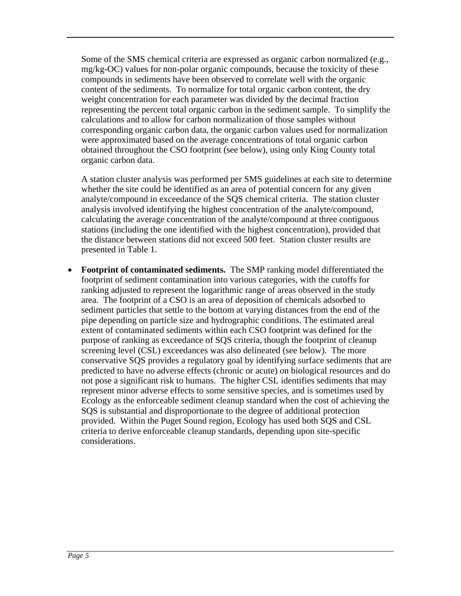Some of the SMS chemical criteria are expressed as organic carbon normalized (e.g., mg/kg-OC) values for non-polar organic compounds, because the toxicity of these compounds in sediments have been observed to correlate well with the organic content of the sediments. To normalize for total organic carbon content, the dry weight concentration for each parameter was divided by the decimal fraction representing the percent total organic carbon in the sediment sample. To simplify the calculations and to allow for carbon normalization of those samples without corresponding organic carbon data, the organic carbon values used for normalization were approximated based on the average concentrations of total organic carbon obtained throughout the CSO footprint (see below), using only King County total organic carbon data.

A station cluster analysis was performed per SMS guidelines at each site to determine whether the site could be identified as an area of potential concern for any given analyte/compound in exceedance of the SQS chemical criteria. The station cluster analysis involved identifying the highest concentration of the analyte/compound, calculating the average concentration of the analyte/compound at three contiguous stations (including the one identified with the highest concentration), provided that the distance between stations did not exceed 500 feet. Station cluster results are presented in Table 1.

 **Footprint of contaminated sediments.** The SMP ranking model differentiated the footprint of sediment contamination into various categories, with the cutoffs for ranking adjusted to represent the logarithmic range of areas observed in the study area. The footprint of a CSO is an area of deposition of chemicals adsorbed to sediment particles that settle to the bottom at varying distances from the end of the pipe depending on particle size and hydrographic conditions. The estimated areal extent of contaminated sediments within each CSO footprint was defined for the purpose of ranking as exceedance of SQS criteria, though the footprint of cleanup screening level (CSL) exceedances was also delineated (see below). The more conservative SQS provides a regulatory goal by identifying surface sediments that are predicted to have no adverse effects (chronic or acute) on biological resources and do not pose a significant risk to humans. The higher CSL identifies sediments that may represent minor adverse effects to some sensitive species, and is sometimes used by Ecology as the enforceable sediment cleanup standard when the cost of achieving the SQS is substantial and disproportionate to the degree of additional protection provided. Within the Puget Sound region, Ecology has used both SQS and CSL criteria to derive enforceable cleanup standards, depending upon site-specific considerations.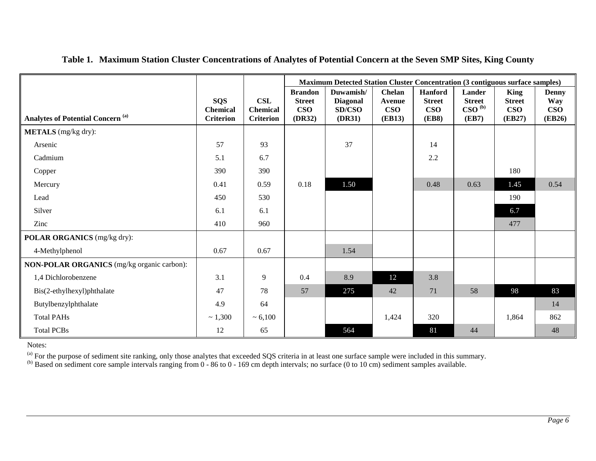|                                            |                               |                               | Maximum Detected Station Cluster Concentration (3 contiguous surface samples) |                                        |                                             |                                               |                                                                 |                                            |                                   |
|--------------------------------------------|-------------------------------|-------------------------------|-------------------------------------------------------------------------------|----------------------------------------|---------------------------------------------|-----------------------------------------------|-----------------------------------------------------------------|--------------------------------------------|-----------------------------------|
|                                            | <b>SQS</b><br><b>Chemical</b> | <b>CSL</b><br><b>Chemical</b> | <b>Brandon</b><br><b>Street</b><br>$\mathbf{C}$ so                            | Duwamish/<br><b>Diagonal</b><br>SD/CSO | <b>Chelan</b><br><b>Avenue</b><br>$\bf CSO$ | <b>Hanford</b><br><b>Street</b><br><b>CSO</b> | <b>Lander</b><br><b>Street</b><br>$\mathbf{CSO}^{(\mathrm{b})}$ | <b>King</b><br><b>Street</b><br><b>CSO</b> | <b>Denny</b><br><b>Way</b><br>CSO |
| <b>Analytes of Potential Concern (a)</b>   | <b>Criterion</b>              | <b>Criterion</b>              | (DR32)                                                                        | (DR31)                                 | <b>(EB13)</b>                               | <b>(EB8)</b>                                  | (EB7)                                                           | (EB27)                                     | <b>(EB26)</b>                     |
| <b>METALS</b> (mg/kg dry):                 |                               |                               |                                                                               |                                        |                                             |                                               |                                                                 |                                            |                                   |
| Arsenic                                    | 57                            | 93                            |                                                                               | 37                                     |                                             | 14                                            |                                                                 |                                            |                                   |
| Cadmium                                    | 5.1                           | 6.7                           |                                                                               |                                        |                                             | 2.2                                           |                                                                 |                                            |                                   |
| Copper                                     | 390                           | 390                           |                                                                               |                                        |                                             |                                               |                                                                 | 180                                        |                                   |
| Mercury                                    | 0.41                          | 0.59                          | 0.18                                                                          | 1.50                                   |                                             | 0.48                                          | 0.63                                                            | 1.45                                       | 0.54                              |
| Lead                                       | 450                           | 530                           |                                                                               |                                        |                                             |                                               |                                                                 | 190                                        |                                   |
| Silver                                     | 6.1                           | 6.1                           |                                                                               |                                        |                                             |                                               |                                                                 | 6.7                                        |                                   |
| Zinc                                       | 410                           | 960                           |                                                                               |                                        |                                             |                                               |                                                                 | 477                                        |                                   |
| POLAR ORGANICS (mg/kg dry):                |                               |                               |                                                                               |                                        |                                             |                                               |                                                                 |                                            |                                   |
| 4-Methylphenol                             | 0.67                          | 0.67                          |                                                                               | 1.54                                   |                                             |                                               |                                                                 |                                            |                                   |
| NON-POLAR ORGANICS (mg/kg organic carbon): |                               |                               |                                                                               |                                        |                                             |                                               |                                                                 |                                            |                                   |
| 1,4 Dichlorobenzene                        | 3.1                           | 9                             | 0.4                                                                           | 8.9                                    | 12                                          | 3.8                                           |                                                                 |                                            |                                   |
| Bis(2-ethylhexyl)phthalate                 | 47                            | 78                            | 57                                                                            | 275                                    | 42                                          | 71                                            | 58                                                              | 98                                         | 83                                |
| Butylbenzylphthalate                       | 4.9                           | 64                            |                                                                               |                                        |                                             |                                               |                                                                 |                                            | 14                                |
| <b>Total PAHs</b>                          | ~1,300                        | ~5,100                        |                                                                               |                                        | 1,424                                       | 320                                           |                                                                 | 1,864                                      | 862                               |
| <b>Total PCBs</b>                          | 12                            | 65                            |                                                                               | 564                                    |                                             | 81                                            | 44                                                              |                                            | 48                                |

#### **Table 1. Maximum Station Cluster Concentrations of Analytes of Potential Concern at the Seven SMP Sites, King County**

Notes:

<sup>(a)</sup> For the purpose of sediment site ranking, only those analytes that exceeded SQS criteria in at least one surface sample were included in this summary.

 $^{(b)}$  Based on sediment core sample intervals ranging from 0 - 86 to 0 - 169 cm depth intervals; no surface (0 to 10 cm) sediment samples available.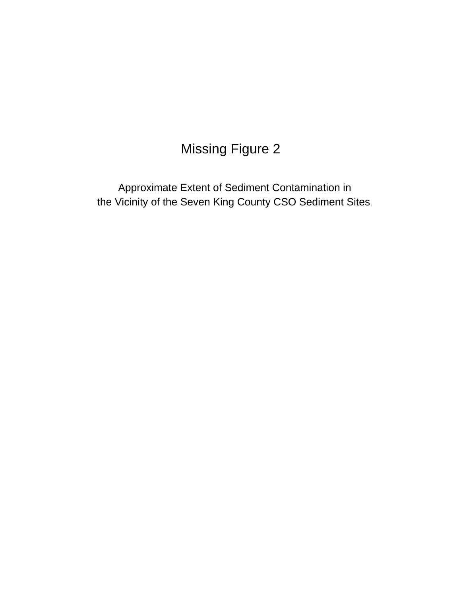# **Missing Figure 2**

Approximate Extent of Sediment Contamination in the Vicinity of the Seven King County CSO Sediment Sites.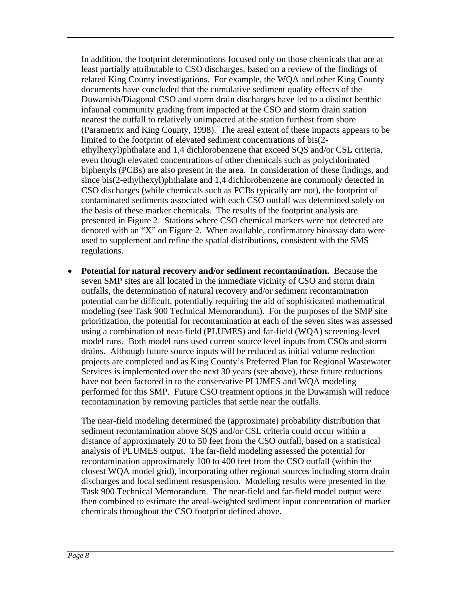In addition, the footprint determinations focused only on those chemicals that are at least partially attributable to CSO discharges, based on a review of the findings of related King County investigations. For example, the WQA and other King County documents have concluded that the cumulative sediment quality effects of the Duwamish/Diagonal CSO and storm drain discharges have led to a distinct benthic infaunal community grading from impacted at the CSO and storm drain station nearest the outfall to relatively unimpacted at the station furthest from shore (Parametrix and King County, 1998). The areal extent of these impacts appears to be limited to the footprint of elevated sediment concentrations of bis(2 ethylhexyl)phthalate and 1,4 dichlorobenzene that exceed SQS and/or CSL criteria, even though elevated concentrations of other chemicals such as polychlorinated biphenyls (PCBs) are also present in the area. In consideration of these findings, and since bis(2-ethylhexyl)phthalate and 1,4 dichlorobenzene are commonly detected in CSO discharges (while chemicals such as PCBs typically are not), the footprint of contaminated sediments associated with each CSO outfall was determined solely on the basis of these marker chemicals. The results of the footprint analysis are presented in Figure 2. Stations where CSO chemical markers were not detected are denoted with an "X" on Figure 2. When available, confirmatory bioassay data were used to supplement and refine the spatial distributions, consistent with the SMS regulations.

 **Potential for natural recovery and/or sediment recontamination.** Because the seven SMP sites are all located in the immediate vicinity of CSO and storm drain outfalls, the determination of natural recovery and/or sediment recontamination potential can be difficult, potentially requiring the aid of sophisticated mathematical modeling (see Task 900 Technical Memorandum). For the purposes of the SMP site prioritization, the potential for recontamination at each of the seven sites was assessed using a combination of near-field (PLUMES) and far-field (WQA) screening-level model runs. Both model runs used current source level inputs from CSOs and storm drains. Although future source inputs will be reduced as initial volume reduction projects are completed and as King County's Preferred Plan for Regional Wastewater Services is implemented over the next 30 years (see above), these future reductions have not been factored in to the conservative PLUMES and WQA modeling performed for this SMP. Future CSO treatment options in the Duwamish will reduce recontamination by removing particles that settle near the outfalls.

The near-field modeling determined the (approximate) probability distribution that sediment recontamination above SQS and/or CSL criteria could occur within a distance of approximately 20 to 50 feet from the CSO outfall, based on a statistical analysis of PLUMES output. The far-field modeling assessed the potential for recontamination approximately 100 to 400 feet from the CSO outfall (within the closest WQA model grid), incorporating other regional sources including storm drain discharges and local sediment resuspension. Modeling results were presented in the Task 900 Technical Memorandum. The near-field and far-field model output were then combined to estimate the areal-weighted sediment input concentration of marker chemicals throughout the CSO footprint defined above.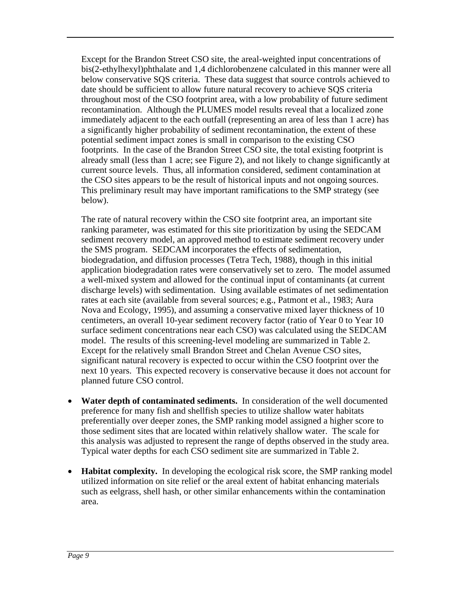Except for the Brandon Street CSO site, the areal-weighted input concentrations of bis(2-ethylhexyl)phthalate and 1,4 dichlorobenzene calculated in this manner were all below conservative SQS criteria. These data suggest that source controls achieved to date should be sufficient to allow future natural recovery to achieve SQS criteria throughout most of the CSO footprint area, with a low probability of future sediment recontamination. Although the PLUMES model results reveal that a localized zone immediately adjacent to the each outfall (representing an area of less than 1 acre) has a significantly higher probability of sediment recontamination, the extent of these potential sediment impact zones is small in comparison to the existing CSO footprints. In the case of the Brandon Street CSO site, the total existing footprint is already small (less than 1 acre; see Figure 2), and not likely to change significantly at current source levels. Thus, all information considered, sediment contamination at the CSO sites appears to be the result of historical inputs and not ongoing sources. This preliminary result may have important ramifications to the SMP strategy (see below).

The rate of natural recovery within the CSO site footprint area, an important site ranking parameter, was estimated for this site prioritization by using the SEDCAM sediment recovery model, an approved method to estimate sediment recovery under the SMS program. SEDCAM incorporates the effects of sedimentation, biodegradation, and diffusion processes (Tetra Tech, 1988), though in this initial application biodegradation rates were conservatively set to zero. The model assumed a well-mixed system and allowed for the continual input of contaminants (at current discharge levels) with sedimentation. Using available estimates of net sedimentation rates at each site (available from several sources; e.g., Patmont et al., 1983; Aura Nova and Ecology, 1995), and assuming a conservative mixed layer thickness of 10 centimeters, an overall 10-year sediment recovery factor (ratio of Year 0 to Year 10 surface sediment concentrations near each CSO) was calculated using the SEDCAM model. The results of this screening-level modeling are summarized in Table 2. Except for the relatively small Brandon Street and Chelan Avenue CSO sites, significant natural recovery is expected to occur within the CSO footprint over the next 10 years. This expected recovery is conservative because it does not account for planned future CSO control.

- **Water depth of contaminated sediments.** In consideration of the well documented preference for many fish and shellfish species to utilize shallow water habitats preferentially over deeper zones, the SMP ranking model assigned a higher score to those sediment sites that are located within relatively shallow water. The scale for this analysis was adjusted to represent the range of depths observed in the study area. Typical water depths for each CSO sediment site are summarized in Table 2.
- **Habitat complexity.** In developing the ecological risk score, the SMP ranking model utilized information on site relief or the areal extent of habitat enhancing materials such as eelgrass, shell hash, or other similar enhancements within the contamination area.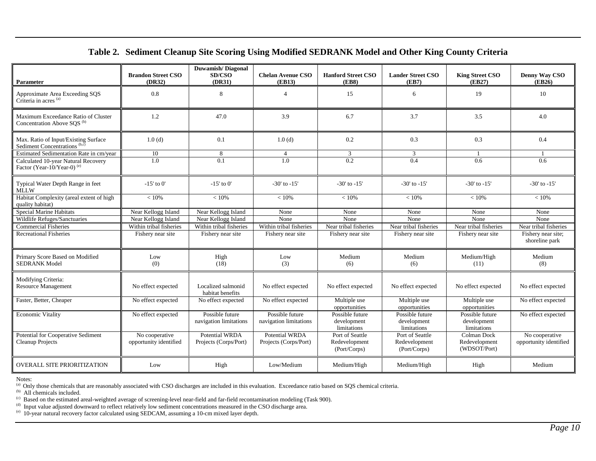#### **Table 2. Sediment Cleanup Site Scoring Using Modified SEDRANK Model and Other King County Criteria**

| <b>Parameter</b>                                                                 | <b>Brandon Street CSO</b><br>(DR32)      | <b>Duwamish/Diagonal</b><br>SD/CSO<br>(DR31)   | <b>Chelan Avenue CSO</b><br>(EB13)        | <b>Hanford Street CSO</b><br>(EB8)               | <b>Lander Street CSO</b><br>(EB7)                | <b>King Street CSO</b><br>(EB27)              | Denny Way CSO<br>(EB26)                  |
|----------------------------------------------------------------------------------|------------------------------------------|------------------------------------------------|-------------------------------------------|--------------------------------------------------|--------------------------------------------------|-----------------------------------------------|------------------------------------------|
| Approximate Area Exceeding SOS<br>Criteria in acres <sup>(a)</sup>               | 0.8                                      | 8                                              | $\overline{4}$                            | 15                                               | 6                                                | 19                                            | 10                                       |
| Maximum Exceedance Ratio of Cluster<br>Concentration Above SQS <sup>(b)</sup>    | 1.2                                      | 47.0                                           | 3.9                                       | 6.7                                              | 3.7                                              | 3.5                                           | 4.0                                      |
| Max. Ratio of Input/Existing Surface<br>Sediment Concentrations <sup>(b,c)</sup> | 1.0(d)                                   | 0.1                                            | 1.0(d)                                    | 0.2                                              | 0.3                                              | 0.3                                           | 0.4                                      |
| Estimated Sedimentation Rate in cm/year                                          | 10                                       | 8                                              | $\overline{4}$                            | 3                                                | 3                                                |                                               |                                          |
| Calculated 10-year Natural Recovery<br>Factor (Year-10/Year-0) <sup>(e)</sup>    | $\overline{1.0}$                         | 0.1                                            | 1.0                                       | 0.2                                              | 0.4                                              | 0.6                                           | 0.6                                      |
| Typical Water Depth Range in feet<br><b>MLLW</b>                                 | $-15'$ to 0'                             | $-15'$ to 0'                                   | $-30'$ to $-15'$                          | $-30'$ to $-15'$                                 | $-30'$ to $-15'$                                 | $-30'$ to $-15'$                              | $-30'$ to $-15'$                         |
| Habitat Complexity (areal extent of high<br>quality habitat)                     | < 10%                                    | < 10%                                          | < 10%                                     | < 10%                                            | < 10%                                            | < 10%                                         | < 10%                                    |
| <b>Special Marine Habitats</b>                                                   | Near Kellogg Island                      | Near Kellogg Island                            | None                                      | None                                             | None                                             | None                                          | None                                     |
| Wildlife Refuges/Sanctuaries                                                     | Near Kellogg Island                      | Near Kellogg Island                            | None                                      | None                                             | None                                             | None                                          | None                                     |
| <b>Commercial Fisheries</b>                                                      | Within tribal fisheries                  | Within tribal fisheries                        | Within tribal fisheries                   | Near tribal fisheries                            | Near tribal fisheries                            | Near tribal fisheries                         | Near tribal fisheries                    |
| <b>Recreational Fisheries</b>                                                    | Fishery near site                        | Fishery near site                              | Fishery near site                         | Fishery near site                                | Fishery near site                                | Fishery near site                             | Fishery near site;<br>shoreline park     |
| Primary Score Based on Modified<br><b>SEDRANK Model</b>                          | Low<br>(0)                               | High<br>(18)                                   | Low<br>(3)                                | Medium<br>(6)                                    | Medium<br>(6)                                    | Medium/High<br>(11)                           | Medium<br>(8)                            |
| Modifying Criteria:<br><b>Resource Management</b>                                | No effect expected                       | Localized salmonid<br>habitat benefits         | No effect expected                        | No effect expected                               | No effect expected                               | No effect expected                            | No effect expected                       |
| Faster, Better, Cheaper                                                          | No effect expected                       | No effect expected                             | No effect expected                        | Multiple use<br>opportunities                    | Multiple use<br>opportunities                    | Multiple use<br>opportunities                 | No effect expected                       |
| <b>Economic Vitality</b>                                                         | No effect expected                       | Possible future<br>navigation limitations      | Possible future<br>navigation limitations | Possible future<br>development<br>limitations    | Possible future<br>development<br>limitations    | Possible future<br>development<br>limitations | No effect expected                       |
| Potential for Cooperative Sediment<br>Cleanup Projects                           | No cooperative<br>opportunity identified | <b>Potential WRDA</b><br>Projects (Corps/Port) | Potential WRDA<br>Projects (Corps/Port)   | Port of Seattle<br>Redevelopment<br>(Port/Corps) | Port of Seattle<br>Redevelopment<br>(Port/Corps) | Colman Dock<br>Redevelopment<br>(WDSOT/Port)  | No cooperative<br>opportunity identified |
| <b>OVERALL SITE PRIORITIZATION</b>                                               | Low                                      | High                                           | Low/Medium                                | Medium/High                                      | Medium/High                                      | High                                          | Medium                                   |

Notes:<br><sup>(a)</sup> Only those chemicals that are reasonably associated with CSO discharges are included in this evaluation. Exceedance ratio based on SQS chemical criteria.<br><sup>(b)</sup> All chemicals included.<br><sup>(c)</sup> Based on the estima

 $\alpha$  Input value adjusted downward to reflect relatively low sediment concentrations measured in the CSO discharge area.

(e) 10-year natural recovery factor calculated using SEDCAM, assuming a 10-cm mixed layer depth.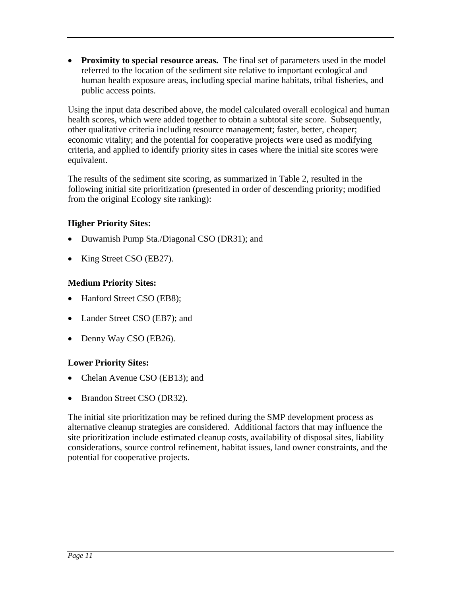**Proximity to special resource areas.** The final set of parameters used in the model referred to the location of the sediment site relative to important ecological and human health exposure areas, including special marine habitats, tribal fisheries, and public access points.

Using the input data described above, the model calculated overall ecological and human health scores, which were added together to obtain a subtotal site score. Subsequently, other qualitative criteria including resource management; faster, better, cheaper; economic vitality; and the potential for cooperative projects were used as modifying criteria, and applied to identify priority sites in cases where the initial site scores were equivalent.

The results of the sediment site scoring, as summarized in Table 2, resulted in the following initial site prioritization (presented in order of descending priority; modified from the original Ecology site ranking):

#### **Higher Priority Sites:**

- Duwamish Pump Sta./Diagonal CSO (DR31); and
- King Street CSO (EB27).

#### **Medium Priority Sites:**

- Hanford Street CSO (EB8);
- Lander Street CSO (EB7); and
- Denny Way CSO (EB26).

#### **Lower Priority Sites:**

- Chelan Avenue CSO (EB13); and
- Brandon Street CSO (DR32).

The initial site prioritization may be refined during the SMP development process as alternative cleanup strategies are considered. Additional factors that may influence the site prioritization include estimated cleanup costs, availability of disposal sites, liability considerations, source control refinement, habitat issues, land owner constraints, and the potential for cooperative projects.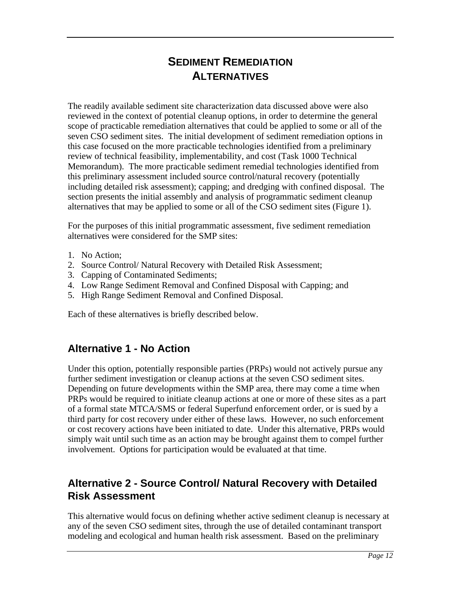# **SEDIMENT REMEDIATION ALTERNATIVES**

The readily available sediment site characterization data discussed above were also reviewed in the context of potential cleanup options, in order to determine the general scope of practicable remediation alternatives that could be applied to some or all of the seven CSO sediment sites. The initial development of sediment remediation options in this case focused on the more practicable technologies identified from a preliminary review of technical feasibility, implementability, and cost (Task 1000 Technical Memorandum). The more practicable sediment remedial technologies identified from this preliminary assessment included source control/natural recovery (potentially including detailed risk assessment); capping; and dredging with confined disposal. The section presents the initial assembly and analysis of programmatic sediment cleanup alternatives that may be applied to some or all of the CSO sediment sites (Figure 1).

For the purposes of this initial programmatic assessment, five sediment remediation alternatives were considered for the SMP sites:

- 1. No Action;
- 2. Source Control/ Natural Recovery with Detailed Risk Assessment;
- 3. Capping of Contaminated Sediments;
- 4. Low Range Sediment Removal and Confined Disposal with Capping; and
- 5. High Range Sediment Removal and Confined Disposal.

Each of these alternatives is briefly described below.

## **Alternative 1 - No Action**

Under this option, potentially responsible parties (PRPs) would not actively pursue any further sediment investigation or cleanup actions at the seven CSO sediment sites. Depending on future developments within the SMP area, there may come a time when PRPs would be required to initiate cleanup actions at one or more of these sites as a part of a formal state MTCA/SMS or federal Superfund enforcement order, or is sued by a third party for cost recovery under either of these laws. However, no such enforcement or cost recovery actions have been initiated to date. Under this alternative, PRPs would simply wait until such time as an action may be brought against them to compel further involvement. Options for participation would be evaluated at that time.

## **Alternative 2 - Source Control/ Natural Recovery with Detailed Risk Assessment**

This alternative would focus on defining whether active sediment cleanup is necessary at any of the seven CSO sediment sites, through the use of detailed contaminant transport modeling and ecological and human health risk assessment. Based on the preliminary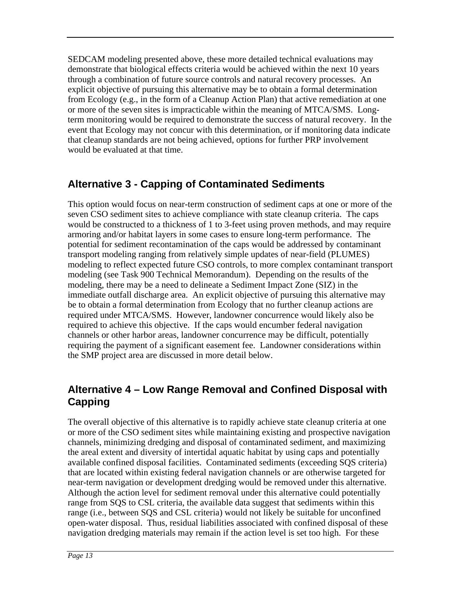SEDCAM modeling presented above, these more detailed technical evaluations may demonstrate that biological effects criteria would be achieved within the next 10 years through a combination of future source controls and natural recovery processes. An explicit objective of pursuing this alternative may be to obtain a formal determination from Ecology (e.g., in the form of a Cleanup Action Plan) that active remediation at one or more of the seven sites is impracticable within the meaning of MTCA/SMS. Longterm monitoring would be required to demonstrate the success of natural recovery. In the event that Ecology may not concur with this determination, or if monitoring data indicate that cleanup standards are not being achieved, options for further PRP involvement would be evaluated at that time.

# **Alternative 3 - Capping of Contaminated Sediments**

This option would focus on near-term construction of sediment caps at one or more of the seven CSO sediment sites to achieve compliance with state cleanup criteria. The caps would be constructed to a thickness of 1 to 3-feet using proven methods, and may require armoring and/or habitat layers in some cases to ensure long-term performance. The potential for sediment recontamination of the caps would be addressed by contaminant transport modeling ranging from relatively simple updates of near-field (PLUMES) modeling to reflect expected future CSO controls, to more complex contaminant transport modeling (see Task 900 Technical Memorandum). Depending on the results of the modeling, there may be a need to delineate a Sediment Impact Zone (SIZ) in the immediate outfall discharge area. An explicit objective of pursuing this alternative may be to obtain a formal determination from Ecology that no further cleanup actions are required under MTCA/SMS. However, landowner concurrence would likely also be required to achieve this objective. If the caps would encumber federal navigation channels or other harbor areas, landowner concurrence may be difficult, potentially requiring the payment of a significant easement fee. Landowner considerations within the SMP project area are discussed in more detail below.

# **Alternative 4 – Low Range Removal and Confined Disposal with Capping**

The overall objective of this alternative is to rapidly achieve state cleanup criteria at one or more of the CSO sediment sites while maintaining existing and prospective navigation channels, minimizing dredging and disposal of contaminated sediment, and maximizing the areal extent and diversity of intertidal aquatic habitat by using caps and potentially available confined disposal facilities. Contaminated sediments (exceeding SQS criteria) that are located within existing federal navigation channels or are otherwise targeted for near-term navigation or development dredging would be removed under this alternative. Although the action level for sediment removal under this alternative could potentially range from SQS to CSL criteria, the available data suggest that sediments within this range (i.e., between SQS and CSL criteria) would not likely be suitable for unconfined open-water disposal. Thus, residual liabilities associated with confined disposal of these navigation dredging materials may remain if the action level is set too high. For these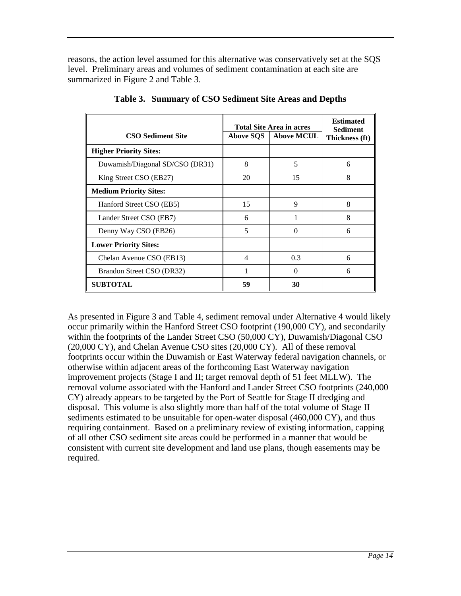reasons, the action level assumed for this alternative was conservatively set at the SQS level. Preliminary areas and volumes of sediment contamination at each site are summarized in Figure 2 and Table 3.

|                                 | <b>Total Site Area in acres</b> | <b>Estimated</b><br><b>Sediment</b> |   |
|---------------------------------|---------------------------------|-------------------------------------|---|
| <b>CSO Sediment Site</b>        | <b>Above SQS</b>                | Thickness (ft)                      |   |
| <b>Higher Priority Sites:</b>   |                                 |                                     |   |
| Duwamish/Diagonal SD/CSO (DR31) | 8                               | 5                                   | 6 |
| King Street CSO (EB27)          | 20                              | 15                                  | 8 |
| <b>Medium Priority Sites:</b>   |                                 |                                     |   |
| Hanford Street CSO (EB5)        | 15                              | 9                                   | 8 |
| Lander Street CSO (EB7)         | 6                               | 1                                   | 8 |
| Denny Way CSO (EB26)            | 5                               | $\Omega$                            | 6 |
| <b>Lower Priority Sites:</b>    |                                 |                                     |   |
| Chelan Avenue CSO (EB13)        | 4                               | 0.3                                 | 6 |
| Brandon Street CSO (DR32)       |                                 | $\Omega$                            | 6 |
| <b>SUBTOTAL</b>                 | 59                              | 30                                  |   |

**Table 3. Summary of CSO Sediment Site Areas and Depths**

As presented in Figure 3 and Table 4, sediment removal under Alternative 4 would likely occur primarily within the Hanford Street CSO footprint (190,000 CY), and secondarily within the footprints of the Lander Street CSO (50,000 CY), Duwamish/Diagonal CSO (20,000 CY), and Chelan Avenue CSO sites (20,000 CY). All of these removal footprints occur within the Duwamish or East Waterway federal navigation channels, or otherwise within adjacent areas of the forthcoming East Waterway navigation improvement projects (Stage I and II; target removal depth of 51 feet MLLW). The removal volume associated with the Hanford and Lander Street CSO footprints (240,000 CY) already appears to be targeted by the Port of Seattle for Stage II dredging and disposal. This volume is also slightly more than half of the total volume of Stage II sediments estimated to be unsuitable for open-water disposal (460,000 CY), and thus requiring containment. Based on a preliminary review of existing information, capping of all other CSO sediment site areas could be performed in a manner that would be consistent with current site development and land use plans, though easements may be required.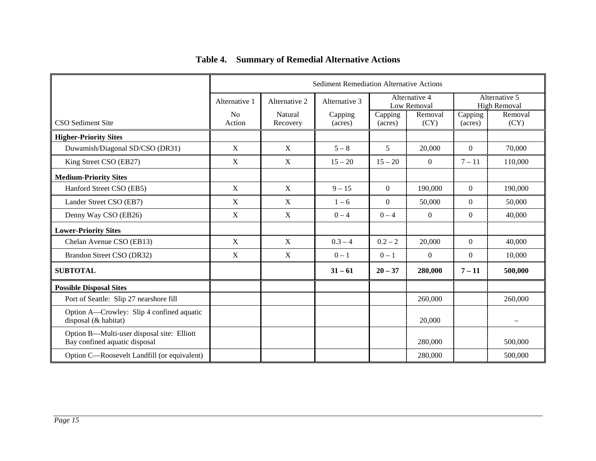|                                                                             | <b>Sediment Remediation Alternative Actions</b> |                     |                    |                    |                              |                                      |                 |
|-----------------------------------------------------------------------------|-------------------------------------------------|---------------------|--------------------|--------------------|------------------------------|--------------------------------------|-----------------|
|                                                                             | Alternative 1                                   | Alternative 2       | Alternative 3      |                    | Alternative 4<br>Low Removal | Alternative 5<br><b>High Removal</b> |                 |
| CSO Sediment Site                                                           | No<br>Action                                    | Natural<br>Recovery | Capping<br>(acres) | Capping<br>(acres) | Removal<br>(CY)              | Capping<br>(acres)                   | Removal<br>(CY) |
| <b>Higher-Priority Sites</b>                                                |                                                 |                     |                    |                    |                              |                                      |                 |
| Duwamish/Diagonal SD/CSO (DR31)                                             | X                                               | X                   | $5 - 8$            | 5                  | 20,000                       | $\Omega$                             | 70,000          |
| King Street CSO (EB27)                                                      | X                                               | X                   | $15 - 20$          | $15 - 20$          | $\Omega$                     | $7 - 11$                             | 110,000         |
| <b>Medium-Priority Sites</b>                                                |                                                 |                     |                    |                    |                              |                                      |                 |
| Hanford Street CSO (EB5)                                                    | $\mathbf X$                                     | $\mathbf X$         | $9 - 15$           | $\overline{0}$     | 190,000                      | $\theta$                             | 190,000         |
| Lander Street CSO (EB7)                                                     | X                                               | X                   | $1 - 6$            | $\overline{0}$     | 50,000                       | $\Omega$                             | 50,000          |
| Denny Way CSO (EB26)                                                        | X                                               | X                   | $0 - 4$            | $0 - 4$            | $\Omega$                     | $\Omega$                             | 40,000          |
| <b>Lower-Priority Sites</b>                                                 |                                                 |                     |                    |                    |                              |                                      |                 |
| Chelan Avenue CSO (EB13)                                                    | $\mathbf X$                                     | $\mathbf X$         | $0.3 - 4$          | $0.2 - 2$          | 20,000                       | $\theta$                             | 40,000          |
| Brandon Street CSO (DR32)                                                   | X                                               | X                   | $0 - 1$            | $0 - 1$            | $\overline{0}$               | $\overline{0}$                       | 10,000          |
| <b>SUBTOTAL</b>                                                             |                                                 |                     | $31 - 61$          | $20 - 37$          | 280,000                      | $7 - 11$                             | 500,000         |
| <b>Possible Disposal Sites</b>                                              |                                                 |                     |                    |                    |                              |                                      |                 |
| Port of Seattle: Slip 27 nearshore fill                                     |                                                 |                     |                    |                    | 260,000                      |                                      | 260,000         |
| Option A-Crowley: Slip 4 confined aquatic<br>disposal (& habitat)           |                                                 |                     |                    |                    | 20,000                       |                                      |                 |
| Option B-Multi-user disposal site: Elliott<br>Bay confined aquatic disposal |                                                 |                     |                    |                    | 280,000                      |                                      | 500,000         |
| Option C—Roosevelt Landfill (or equivalent)                                 |                                                 |                     |                    |                    | 280,000                      |                                      | 500,000         |

## **Table 4. Summary of Remedial Alternative Actions**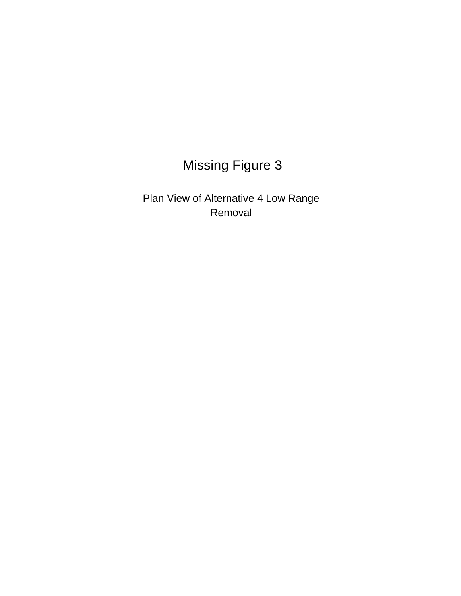# **Missing Figure 3**

Plan View of Alternative 4 Low Range Removal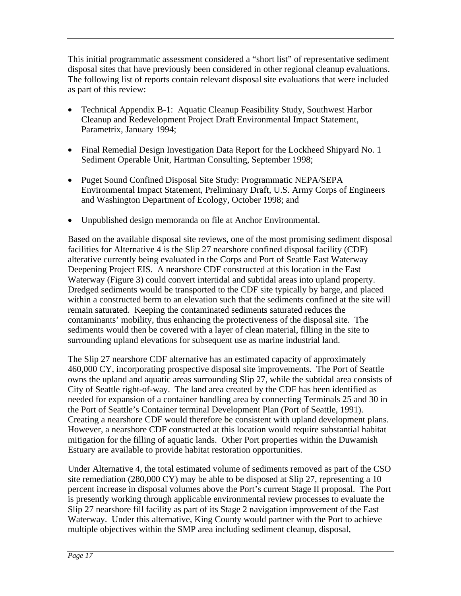This initial programmatic assessment considered a "short list" of representative sediment disposal sites that have previously been considered in other regional cleanup evaluations. The following list of reports contain relevant disposal site evaluations that were included as part of this review:

- Technical Appendix B-1: Aquatic Cleanup Feasibility Study, Southwest Harbor Cleanup and Redevelopment Project Draft Environmental Impact Statement, Parametrix, January 1994;
- Final Remedial Design Investigation Data Report for the Lockheed Shipyard No. 1 Sediment Operable Unit, Hartman Consulting, September 1998;
- Puget Sound Confined Disposal Site Study: Programmatic NEPA/SEPA Environmental Impact Statement, Preliminary Draft, U.S. Army Corps of Engineers and Washington Department of Ecology, October 1998; and
- Unpublished design memoranda on file at Anchor Environmental.

Based on the available disposal site reviews, one of the most promising sediment disposal facilities for Alternative 4 is the Slip 27 nearshore confined disposal facility (CDF) alterative currently being evaluated in the Corps and Port of Seattle East Waterway Deepening Project EIS. A nearshore CDF constructed at this location in the East Waterway (Figure 3) could convert intertidal and subtidal areas into upland property. Dredged sediments would be transported to the CDF site typically by barge, and placed within a constructed berm to an elevation such that the sediments confined at the site will remain saturated. Keeping the contaminated sediments saturated reduces the contaminants' mobility, thus enhancing the protectiveness of the disposal site. The sediments would then be covered with a layer of clean material, filling in the site to surrounding upland elevations for subsequent use as marine industrial land.

The Slip 27 nearshore CDF alternative has an estimated capacity of approximately 460,000 CY, incorporating prospective disposal site improvements. The Port of Seattle owns the upland and aquatic areas surrounding Slip 27, while the subtidal area consists of City of Seattle right-of-way. The land area created by the CDF has been identified as needed for expansion of a container handling area by connecting Terminals 25 and 30 in the Port of Seattle's Container terminal Development Plan (Port of Seattle, 1991). Creating a nearshore CDF would therefore be consistent with upland development plans. However, a nearshore CDF constructed at this location would require substantial habitat mitigation for the filling of aquatic lands. Other Port properties within the Duwamish Estuary are available to provide habitat restoration opportunities.

Under Alternative 4, the total estimated volume of sediments removed as part of the CSO site remediation (280,000 CY) may be able to be disposed at Slip 27, representing a 10 percent increase in disposal volumes above the Port's current Stage II proposal. The Port is presently working through applicable environmental review processes to evaluate the Slip 27 nearshore fill facility as part of its Stage 2 navigation improvement of the East Waterway. Under this alternative, King County would partner with the Port to achieve multiple objectives within the SMP area including sediment cleanup, disposal,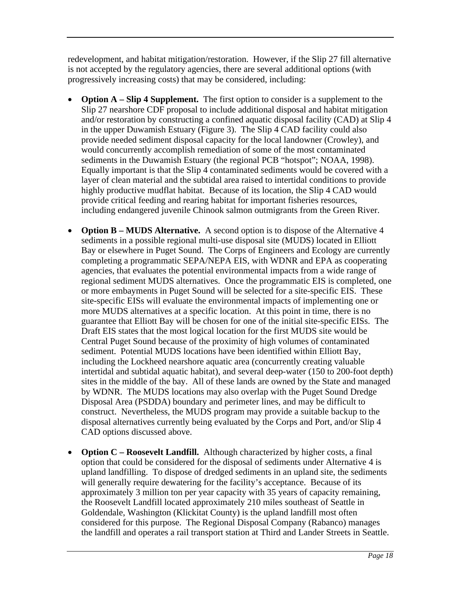redevelopment, and habitat mitigation/restoration. However, if the Slip 27 fill alternative is not accepted by the regulatory agencies, there are several additional options (with progressively increasing costs) that may be considered, including:

- **Option A Slip 4 Supplement.** The first option to consider is a supplement to the Slip 27 nearshore CDF proposal to include additional disposal and habitat mitigation and/or restoration by constructing a confined aquatic disposal facility (CAD) at Slip 4 in the upper Duwamish Estuary (Figure 3). The Slip 4 CAD facility could also provide needed sediment disposal capacity for the local landowner (Crowley), and would concurrently accomplish remediation of some of the most contaminated sediments in the Duwamish Estuary (the regional PCB "hotspot"; NOAA, 1998). Equally important is that the Slip 4 contaminated sediments would be covered with a layer of clean material and the subtidal area raised to intertidal conditions to provide highly productive mudflat habitat. Because of its location, the Slip 4 CAD would provide critical feeding and rearing habitat for important fisheries resources, including endangered juvenile Chinook salmon outmigrants from the Green River.
- **Option B MUDS Alternative.** A second option is to dispose of the Alternative 4 sediments in a possible regional multi-use disposal site (MUDS) located in Elliott Bay or elsewhere in Puget Sound. The Corps of Engineers and Ecology are currently completing a programmatic SEPA/NEPA EIS, with WDNR and EPA as cooperating agencies, that evaluates the potential environmental impacts from a wide range of regional sediment MUDS alternatives. Once the programmatic EIS is completed, one or more embayments in Puget Sound will be selected for a site-specific EIS. These site-specific EISs will evaluate the environmental impacts of implementing one or more MUDS alternatives at a specific location. At this point in time, there is no guarantee that Elliott Bay will be chosen for one of the initial site-specific EISs. The Draft EIS states that the most logical location for the first MUDS site would be Central Puget Sound because of the proximity of high volumes of contaminated sediment. Potential MUDS locations have been identified within Elliott Bay, including the Lockheed nearshore aquatic area (concurrently creating valuable intertidal and subtidal aquatic habitat), and several deep-water (150 to 200-foot depth) sites in the middle of the bay. All of these lands are owned by the State and managed by WDNR. The MUDS locations may also overlap with the Puget Sound Dredge Disposal Area (PSDDA) boundary and perimeter lines, and may be difficult to construct. Nevertheless, the MUDS program may provide a suitable backup to the disposal alternatives currently being evaluated by the Corps and Port, and/or Slip 4 CAD options discussed above.
- **Option C Roosevelt Landfill.** Although characterized by higher costs, a final option that could be considered for the disposal of sediments under Alternative 4 is upland landfilling. To dispose of dredged sediments in an upland site, the sediments will generally require dewatering for the facility's acceptance. Because of its approximately 3 million ton per year capacity with 35 years of capacity remaining, the Roosevelt Landfill located approximately 210 miles southeast of Seattle in Goldendale, Washington (Klickitat County) is the upland landfill most often considered for this purpose. The Regional Disposal Company (Rabanco) manages the landfill and operates a rail transport station at Third and Lander Streets in Seattle.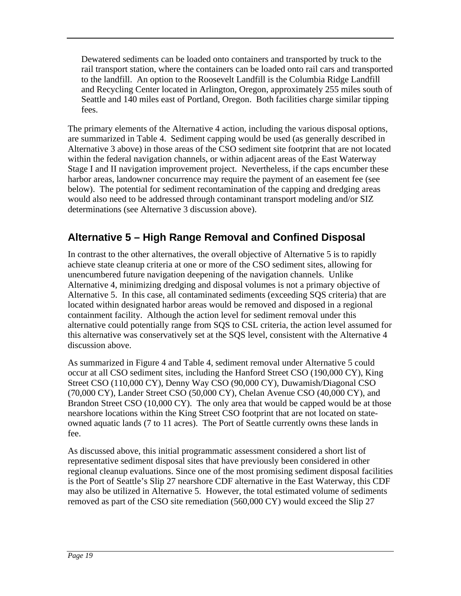Dewatered sediments can be loaded onto containers and transported by truck to the rail transport station, where the containers can be loaded onto rail cars and transported to the landfill. An option to the Roosevelt Landfill is the Columbia Ridge Landfill and Recycling Center located in Arlington, Oregon, approximately 255 miles south of Seattle and 140 miles east of Portland, Oregon. Both facilities charge similar tipping fees.

The primary elements of the Alternative 4 action, including the various disposal options, are summarized in Table 4. Sediment capping would be used (as generally described in Alternative 3 above) in those areas of the CSO sediment site footprint that are not located within the federal navigation channels, or within adjacent areas of the East Waterway Stage I and II navigation improvement project. Nevertheless, if the caps encumber these harbor areas, landowner concurrence may require the payment of an easement fee (see below). The potential for sediment recontamination of the capping and dredging areas would also need to be addressed through contaminant transport modeling and/or SIZ determinations (see Alternative 3 discussion above).

# **Alternative 5 – High Range Removal and Confined Disposal**

In contrast to the other alternatives, the overall objective of Alternative 5 is to rapidly achieve state cleanup criteria at one or more of the CSO sediment sites, allowing for unencumbered future navigation deepening of the navigation channels. Unlike Alternative 4, minimizing dredging and disposal volumes is not a primary objective of Alternative 5. In this case, all contaminated sediments (exceeding SQS criteria) that are located within designated harbor areas would be removed and disposed in a regional containment facility. Although the action level for sediment removal under this alternative could potentially range from SQS to CSL criteria, the action level assumed for this alternative was conservatively set at the SQS level, consistent with the Alternative 4 discussion above.

As summarized in Figure 4 and Table 4, sediment removal under Alternative 5 could occur at all CSO sediment sites, including the Hanford Street CSO (190,000 CY), King Street CSO (110,000 CY), Denny Way CSO (90,000 CY), Duwamish/Diagonal CSO (70,000 CY), Lander Street CSO (50,000 CY), Chelan Avenue CSO (40,000 CY), and Brandon Street CSO (10,000 CY). The only area that would be capped would be at those nearshore locations within the King Street CSO footprint that are not located on stateowned aquatic lands (7 to 11 acres). The Port of Seattle currently owns these lands in fee.

As discussed above, this initial programmatic assessment considered a short list of representative sediment disposal sites that have previously been considered in other regional cleanup evaluations. Since one of the most promising sediment disposal facilities is the Port of Seattle's Slip 27 nearshore CDF alternative in the East Waterway, this CDF may also be utilized in Alternative 5. However, the total estimated volume of sediments removed as part of the CSO site remediation (560,000 CY) would exceed the Slip 27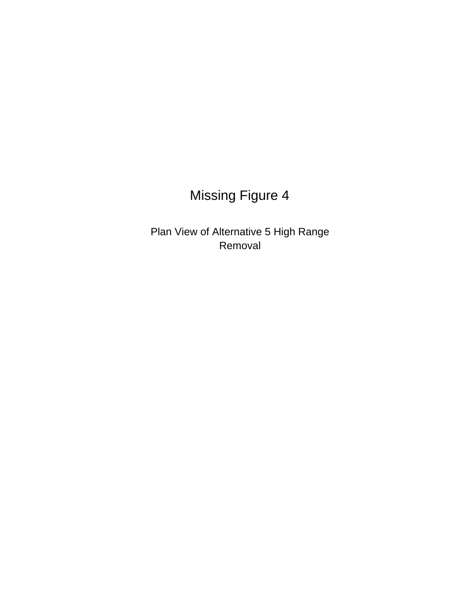# **Missing Figure 4**

Plan View of Alternative 5 High Range Removal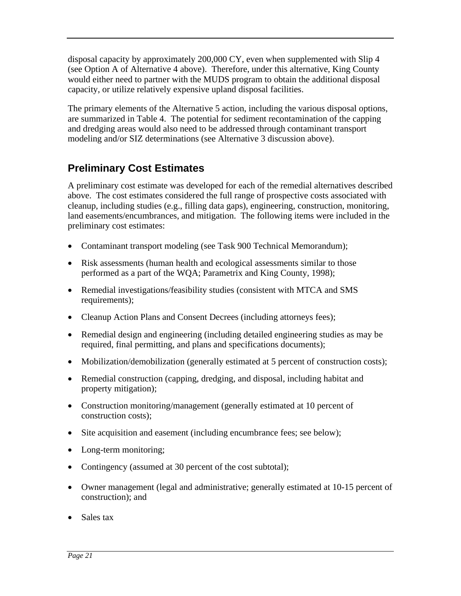disposal capacity by approximately 200,000 CY, even when supplemented with Slip 4 (see Option A of Alternative 4 above). Therefore, under this alternative, King County would either need to partner with the MUDS program to obtain the additional disposal capacity, or utilize relatively expensive upland disposal facilities.

The primary elements of the Alternative 5 action, including the various disposal options, are summarized in Table 4. The potential for sediment recontamination of the capping and dredging areas would also need to be addressed through contaminant transport modeling and/or SIZ determinations (see Alternative 3 discussion above).

# **Preliminary Cost Estimates**

A preliminary cost estimate was developed for each of the remedial alternatives described above. The cost estimates considered the full range of prospective costs associated with cleanup, including studies (e.g., filling data gaps), engineering, construction, monitoring, land easements/encumbrances, and mitigation. The following items were included in the preliminary cost estimates:

- Contaminant transport modeling (see Task 900 Technical Memorandum);
- Risk assessments (human health and ecological assessments similar to those performed as a part of the WQA; Parametrix and King County, 1998);
- Remedial investigations/feasibility studies (consistent with MTCA and SMS requirements);
- Cleanup Action Plans and Consent Decrees (including attorneys fees);
- Remedial design and engineering (including detailed engineering studies as may be required, final permitting, and plans and specifications documents);
- Mobilization/demobilization (generally estimated at 5 percent of construction costs);
- Remedial construction (capping, dredging, and disposal, including habitat and property mitigation);
- Construction monitoring/management (generally estimated at 10 percent of construction costs);
- Site acquisition and easement (including encumbrance fees; see below);
- Long-term monitoring;
- Contingency (assumed at 30 percent of the cost subtotal);
- Owner management (legal and administrative; generally estimated at 10-15 percent of construction); and
- Sales tax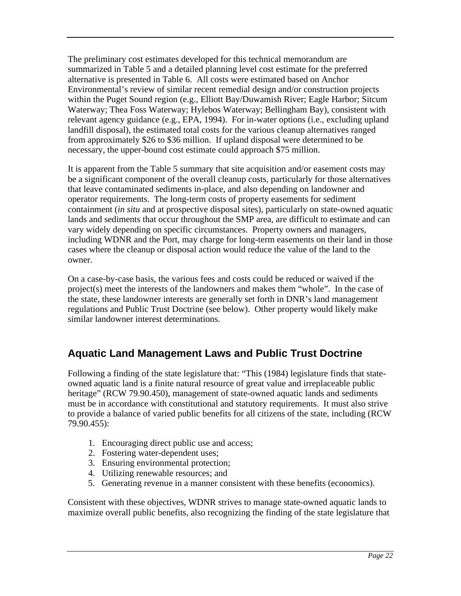The preliminary cost estimates developed for this technical memorandum are summarized in Table 5 and a detailed planning level cost estimate for the preferred alternative is presented in Table 6. All costs were estimated based on Anchor Environmental's review of similar recent remedial design and/or construction projects within the Puget Sound region (e.g., Elliott Bay/Duwamish River; Eagle Harbor; Sitcum Waterway; Thea Foss Waterway; Hylebos Waterway; Bellingham Bay), consistent with relevant agency guidance (e.g., EPA, 1994). For in-water options (i.e., excluding upland landfill disposal), the estimated total costs for the various cleanup alternatives ranged from approximately \$26 to \$36 million. If upland disposal were determined to be necessary, the upper-bound cost estimate could approach \$75 million.

It is apparent from the Table 5 summary that site acquisition and/or easement costs may be a significant component of the overall cleanup costs, particularly for those alternatives that leave contaminated sediments in-place, and also depending on landowner and operator requirements. The long-term costs of property easements for sediment containment (*in situ* and at prospective disposal sites), particularly on state-owned aquatic lands and sediments that occur throughout the SMP area, are difficult to estimate and can vary widely depending on specific circumstances. Property owners and managers, including WDNR and the Port, may charge for long-term easements on their land in those cases where the cleanup or disposal action would reduce the value of the land to the owner.

On a case-by-case basis, the various fees and costs could be reduced or waived if the project(s) meet the interests of the landowners and makes them "whole". In the case of the state, these landowner interests are generally set forth in DNR's land management regulations and Public Trust Doctrine (see below). Other property would likely make similar landowner interest determinations.

# **Aquatic Land Management Laws and Public Trust Doctrine**

Following a finding of the state legislature that: "This (1984) legislature finds that stateowned aquatic land is a finite natural resource of great value and irreplaceable public heritage" (RCW 79.90.450), management of state-owned aquatic lands and sediments must be in accordance with constitutional and statutory requirements. It must also strive to provide a balance of varied public benefits for all citizens of the state, including (RCW 79.90.455):

- 1. Encouraging direct public use and access;
- 2. Fostering water-dependent uses;
- 3. Ensuring environmental protection;
- 4. Utilizing renewable resources; and
- 5. Generating revenue in a manner consistent with these benefits (economics).

Consistent with these objectives, WDNR strives to manage state-owned aquatic lands to maximize overall public benefits, also recognizing the finding of the state legislature that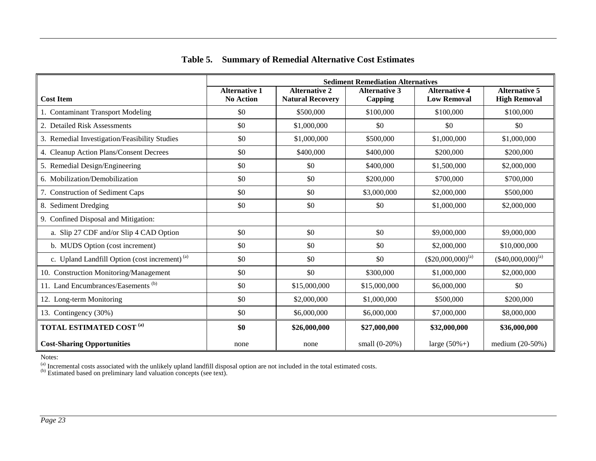|                                                           | <b>Sediment Remediation Alternatives</b> |                                                 |                                 |                                            |                                             |  |  |
|-----------------------------------------------------------|------------------------------------------|-------------------------------------------------|---------------------------------|--------------------------------------------|---------------------------------------------|--|--|
| <b>Cost Item</b>                                          | <b>Alternative 1</b><br><b>No Action</b> | <b>Alternative 2</b><br><b>Natural Recovery</b> | <b>Alternative 3</b><br>Capping | <b>Alternative 4</b><br><b>Low Removal</b> | <b>Alternative 5</b><br><b>High Removal</b> |  |  |
| 1. Contaminant Transport Modeling                         | \$0                                      | \$500,000                                       | \$100,000                       | \$100,000                                  | \$100,000                                   |  |  |
| 2. Detailed Risk Assessments                              | \$0                                      | \$1,000,000                                     | \$0                             | \$0                                        | \$0                                         |  |  |
| 3. Remedial Investigation/Feasibility Studies             | \$0                                      | \$1,000,000                                     | \$500,000                       | \$1,000,000                                | \$1,000,000                                 |  |  |
| 4. Cleanup Action Plans/Consent Decrees                   | \$0                                      | \$400,000                                       | \$400,000                       | \$200,000                                  | \$200,000                                   |  |  |
| 5. Remedial Design/Engineering                            | \$0                                      | \$0                                             | \$400,000                       | \$1,500,000                                | \$2,000,000                                 |  |  |
| 6. Mobilization/Demobilization                            | \$0                                      | \$0                                             | \$200,000                       | \$700,000                                  | \$700,000                                   |  |  |
| 7. Construction of Sediment Caps                          | \$0                                      | \$0                                             | \$3,000,000                     | \$2,000,000                                | \$500,000                                   |  |  |
| 8. Sediment Dredging                                      | \$0                                      | \$0                                             | \$0                             | \$1,000,000                                | \$2,000,000                                 |  |  |
| 9. Confined Disposal and Mitigation:                      |                                          |                                                 |                                 |                                            |                                             |  |  |
| a. Slip 27 CDF and/or Slip 4 CAD Option                   | \$0                                      | \$0                                             | \$0                             | \$9,000,000                                | \$9,000,000                                 |  |  |
| b. MUDS Option (cost increment)                           | \$0                                      | \$0                                             | \$0                             | \$2,000,000                                | \$10,000,000                                |  |  |
| c. Upland Landfill Option (cost increment) <sup>(a)</sup> | \$0                                      | \$0                                             | \$0                             | (\$20,000,000) <sup>(a)</sup>              | $(*40,000,000)^{(a)}$                       |  |  |
| 10. Construction Monitoring/Management                    | \$0                                      | \$0                                             | \$300,000                       | \$1,000,000                                | \$2,000,000                                 |  |  |
| 11. Land Encumbrances/Easements <sup>(b)</sup>            | \$0                                      | \$15,000,000                                    | \$15,000,000                    | \$6,000,000                                | \$0                                         |  |  |
| 12. Long-term Monitoring                                  | \$0                                      | \$2,000,000                                     | \$1,000,000                     | \$500,000                                  | \$200,000                                   |  |  |
| 13. Contingency (30%)                                     | \$0                                      | \$6,000,000                                     | \$6,000,000                     | \$7,000,000                                | \$8,000,000                                 |  |  |
| <b>TOTAL ESTIMATED COST (a)</b>                           | \$0                                      | \$26,000,000                                    | \$27,000,000                    | \$32,000,000                               | \$36,000,000                                |  |  |
| <b>Cost-Sharing Opportunities</b>                         | none                                     | none                                            | small $(0-20%)$                 | large $(50\% + )$                          | medium $(20-50%)$                           |  |  |

#### **Table 5. Summary of Remedial Alternative Cost Estimates**

Notes:

<sup>(a)</sup> Incremental costs associated with the unlikely upland landfill disposal option are not included in the total estimated costs.<br><sup>(b)</sup> Estimated based on preliminary land valuation concepts (see text).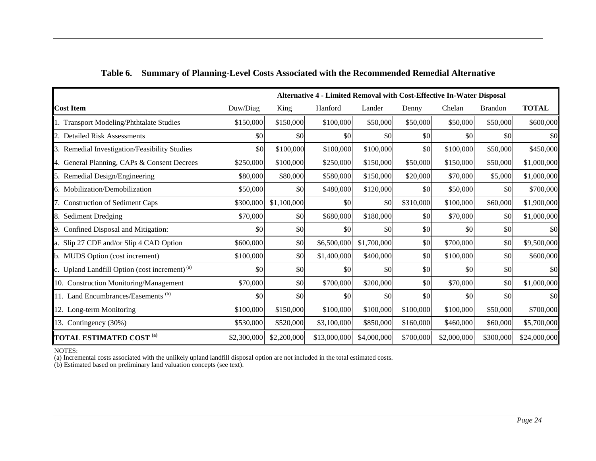|                                                               | Alternative 4 - Limited Removal with Cost-Effective In-Water Disposal |             |              |             |           |             |                |              |
|---------------------------------------------------------------|-----------------------------------------------------------------------|-------------|--------------|-------------|-----------|-------------|----------------|--------------|
| <b>Cost Item</b>                                              | Duw/Diag                                                              | King        | Hanford      | Lander      | Denny     | Chelan      | <b>Brandon</b> | <b>TOTAL</b> |
| 1. Transport Modeling/Phthtalate Studies                      | \$150,000                                                             | \$150,000   | \$100,000    | \$50,000    | \$50,000  | \$50,000    | \$50,000       | \$600,000    |
| 2. Detailed Risk Assessments                                  | \$0                                                                   | \$0         | \$0          | \$0         | \$0       | \$0         | \$0            | \$0          |
| 3. Remedial Investigation/Feasibility Studies                 | \$0                                                                   | \$100,000   | \$100,000    | \$100,000   | \$0       | \$100,000   | \$50,000       | \$450,000    |
| 4. General Planning, CAPs & Consent Decrees                   | \$250,000                                                             | \$100,000   | \$250,000    | \$150,000   | \$50,000  | \$150,000   | \$50,000       | \$1,000,000  |
| 5. Remedial Design/Engineering                                | \$80,000                                                              | \$80,000    | \$580,000    | \$150,000   | \$20,000  | \$70,000    | \$5,000        | \$1,000,000  |
| 6. Mobilization/Demobilization                                | \$50,000                                                              | \$0         | \$480,000    | \$120,000   | \$0       | \$50,000    | \$0            | \$700,000    |
| 7. Construction of Sediment Caps                              | \$300,000                                                             | \$1,100,000 | \$0          | \$0         | \$310,000 | \$100,000   | \$60,000       | \$1,900,000  |
| 8. Sediment Dredging                                          | \$70,000                                                              | \$0         | \$680,000    | \$180,000   | \$0       | \$70,000    | \$0            | \$1,000,000  |
| 9. Confined Disposal and Mitigation:                          | \$0                                                                   | \$0         | \$0          | \$0         | \$0       | \$0         | \$0            | \$0          |
| a. Slip 27 CDF and/or Slip 4 CAD Option                       | \$600,000                                                             | \$0         | \$6,500,000  | \$1,700,000 | \$0       | \$700,000   | \$0            | \$9,500,000  |
| b. MUDS Option (cost increment)                               | \$100,000                                                             | \$0         | \$1,400,000  | \$400,000   | \$0       | \$100,000   | \$0            | \$600,000    |
| $\ c.$ Upland Landfill Option (cost increment) <sup>(a)</sup> | \$0                                                                   | \$0         | \$0          | \$0         | \$0       | \$0         | \$0            | \$0          |
| 10. Construction Monitoring/Management                        | \$70,000                                                              | \$0         | \$700,000    | \$200,000   | \$0       | \$70,000    | \$0            | \$1,000,000  |
| 11. Land Encumbrances/Easements <sup>(b)</sup>                | \$0                                                                   | \$0         | \$0          | \$0         | \$0       | \$0         | \$0            | \$0          |
| 12. Long-term Monitoring                                      | \$100,000                                                             | \$150,000   | \$100,000    | \$100,000   | \$100,000 | \$100,000   | \$50,000       | \$700,000    |
| 13. Contingency $(30%)$                                       | \$530,000                                                             | \$520,000   | \$3,100,000  | \$850,000   | \$160,000 | \$460,000   | \$60,000       | \$5,700,000  |
| <b>TOTAL ESTIMATED COST (a)</b>                               | \$2,300,000                                                           | \$2,200,000 | \$13,000,000 | \$4,000,000 | \$700,000 | \$2,000,000 | \$300,000      | \$24,000,000 |

#### **Table 6. Summary of Planning-Level Costs Associated with the Recommended Remedial Alternative**

NOTES:

(a) Incremental costs associated with the unlikely upland landfill disposal option are not included in the total estimated costs.

(b) Estimated based on preliminary land valuation concepts (see text).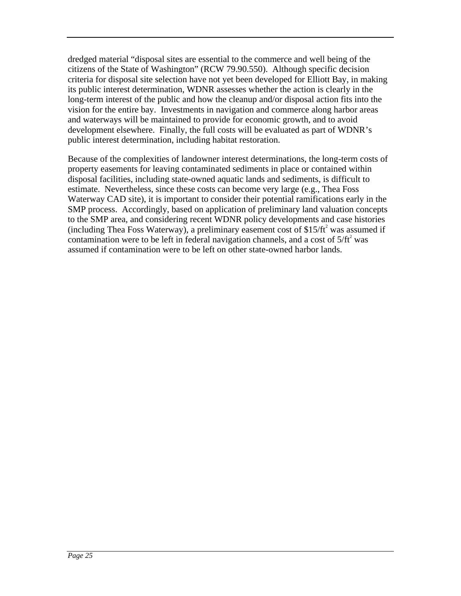dredged material "disposal sites are essential to the commerce and well being of the citizens of the State of Washington" (RCW 79.90.550). Although specific decision criteria for disposal site selection have not yet been developed for Elliott Bay, in making its public interest determination, WDNR assesses whether the action is clearly in the long-term interest of the public and how the cleanup and/or disposal action fits into the vision for the entire bay. Investments in navigation and commerce along harbor areas and waterways will be maintained to provide for economic growth, and to avoid development elsewhere. Finally, the full costs will be evaluated as part of WDNR's public interest determination, including habitat restoration.

Because of the complexities of landowner interest determinations, the long-term costs of property easements for leaving contaminated sediments in place or contained within disposal facilities, including state-owned aquatic lands and sediments, is difficult to estimate. Nevertheless, since these costs can become very large (e.g., Thea Foss Waterway CAD site), it is important to consider their potential ramifications early in the SMP process. Accordingly, based on application of preliminary land valuation concepts to the SMP area, and considering recent WDNR policy developments and case histories (including Thea Foss Waterway), a preliminary easement cost of \$15/ft<sup>2</sup> was assumed if contamination were to be left in federal navigation channels, and a cost of  $5/ft<sup>2</sup>$  was assumed if contamination were to be left on other state-owned harbor lands.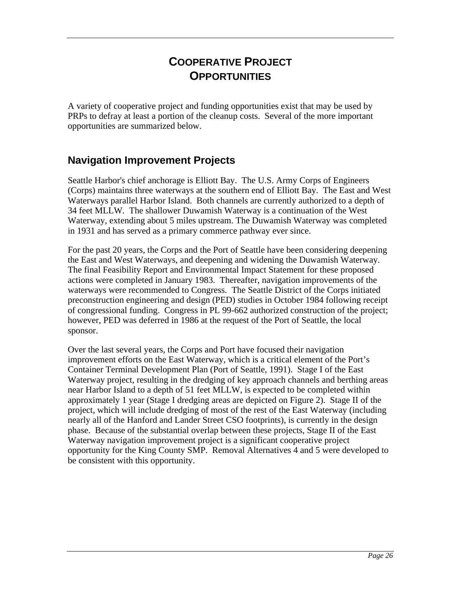# **COOPERATIVE PROJECT OPPORTUNITIES**

A variety of cooperative project and funding opportunities exist that may be used by PRPs to defray at least a portion of the cleanup costs. Several of the more important opportunities are summarized below.

## **Navigation Improvement Projects**

Seattle Harbor's chief anchorage is Elliott Bay. The U.S. Army Corps of Engineers (Corps) maintains three waterways at the southern end of Elliott Bay. The East and West Waterways parallel Harbor Island. Both channels are currently authorized to a depth of 34 feet MLLW. The shallower Duwamish Waterway is a continuation of the West Waterway, extending about 5 miles upstream. The Duwamish Waterway was completed in 1931 and has served as a primary commerce pathway ever since.

For the past 20 years, the Corps and the Port of Seattle have been considering deepening the East and West Waterways, and deepening and widening the Duwamish Waterway. The final Feasibility Report and Environmental Impact Statement for these proposed actions were completed in January 1983. Thereafter, navigation improvements of the waterways were recommended to Congress. The Seattle District of the Corps initiated preconstruction engineering and design (PED) studies in October 1984 following receipt of congressional funding. Congress in PL 99-662 authorized construction of the project; however, PED was deferred in 1986 at the request of the Port of Seattle, the local sponsor.

Over the last several years, the Corps and Port have focused their navigation improvement efforts on the East Waterway, which is a critical element of the Port's Container Terminal Development Plan (Port of Seattle, 1991). Stage I of the East Waterway project, resulting in the dredging of key approach channels and berthing areas near Harbor Island to a depth of 51 feet MLLW, is expected to be completed within approximately 1 year (Stage I dredging areas are depicted on Figure 2). Stage II of the project, which will include dredging of most of the rest of the East Waterway (including nearly all of the Hanford and Lander Street CSO footprints), is currently in the design phase. Because of the substantial overlap between these projects, Stage II of the East Waterway navigation improvement project is a significant cooperative project opportunity for the King County SMP. Removal Alternatives 4 and 5 were developed to be consistent with this opportunity.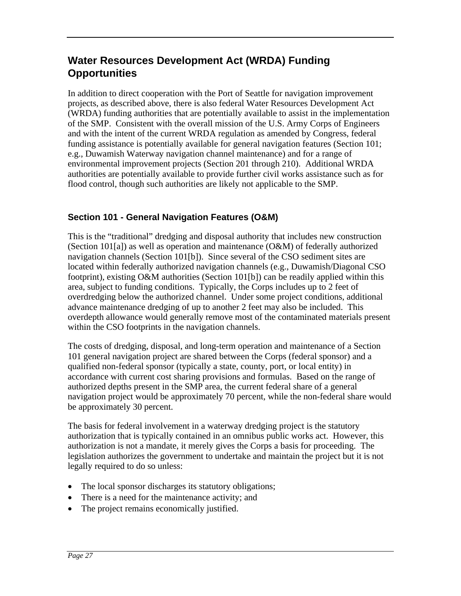# **Water Resources Development Act (WRDA) Funding Opportunities**

In addition to direct cooperation with the Port of Seattle for navigation improvement projects, as described above, there is also federal Water Resources Development Act (WRDA) funding authorities that are potentially available to assist in the implementation of the SMP. Consistent with the overall mission of the U.S. Army Corps of Engineers and with the intent of the current WRDA regulation as amended by Congress, federal funding assistance is potentially available for general navigation features (Section 101; e.g., Duwamish Waterway navigation channel maintenance) and for a range of environmental improvement projects (Section 201 through 210). Additional WRDA authorities are potentially available to provide further civil works assistance such as for flood control, though such authorities are likely not applicable to the SMP.

### **Section 101 - General Navigation Features (O&M)**

This is the "traditional" dredging and disposal authority that includes new construction (Section 101[a]) as well as operation and maintenance (O&M) of federally authorized navigation channels (Section 101[b]). Since several of the CSO sediment sites are located within federally authorized navigation channels (e.g., Duwamish/Diagonal CSO footprint), existing O&M authorities (Section 101[b]) can be readily applied within this area, subject to funding conditions. Typically, the Corps includes up to 2 feet of overdredging below the authorized channel. Under some project conditions, additional advance maintenance dredging of up to another 2 feet may also be included. This overdepth allowance would generally remove most of the contaminated materials present within the CSO footprints in the navigation channels.

The costs of dredging, disposal, and long-term operation and maintenance of a Section 101 general navigation project are shared between the Corps (federal sponsor) and a qualified non-federal sponsor (typically a state, county, port, or local entity) in accordance with current cost sharing provisions and formulas. Based on the range of authorized depths present in the SMP area, the current federal share of a general navigation project would be approximately 70 percent, while the non-federal share would be approximately 30 percent.

The basis for federal involvement in a waterway dredging project is the statutory authorization that is typically contained in an omnibus public works act. However, this authorization is not a mandate, it merely gives the Corps a basis for proceeding. The legislation authorizes the government to undertake and maintain the project but it is not legally required to do so unless:

- The local sponsor discharges its statutory obligations;
- There is a need for the maintenance activity; and
- The project remains economically justified.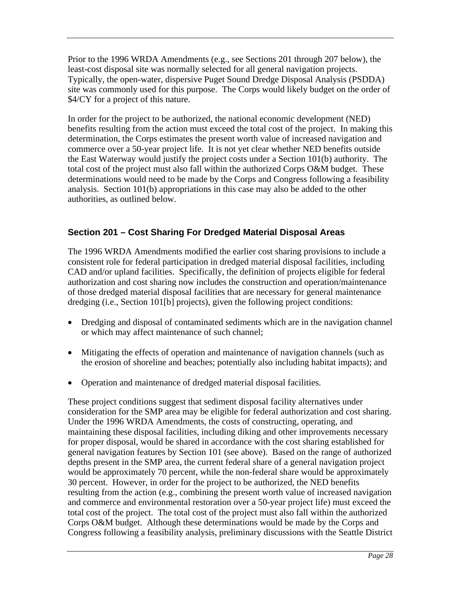Prior to the 1996 WRDA Amendments (e.g., see Sections 201 through 207 below), the least-cost disposal site was normally selected for all general navigation projects. Typically, the open-water, dispersive Puget Sound Dredge Disposal Analysis (PSDDA) site was commonly used for this purpose. The Corps would likely budget on the order of \$4/CY for a project of this nature.

In order for the project to be authorized, the national economic development (NED) benefits resulting from the action must exceed the total cost of the project. In making this determination, the Corps estimates the present worth value of increased navigation and commerce over a 50-year project life. It is not yet clear whether NED benefits outside the East Waterway would justify the project costs under a Section 101(b) authority. The total cost of the project must also fall within the authorized Corps O&M budget. These determinations would need to be made by the Corps and Congress following a feasibility analysis. Section 101(b) appropriations in this case may also be added to the other authorities, as outlined below.

### **Section 201 – Cost Sharing For Dredged Material Disposal Areas**

The 1996 WRDA Amendments modified the earlier cost sharing provisions to include a consistent role for federal participation in dredged material disposal facilities, including CAD and/or upland facilities. Specifically, the definition of projects eligible for federal authorization and cost sharing now includes the construction and operation/maintenance of those dredged material disposal facilities that are necessary for general maintenance dredging (i.e., Section 101[b] projects), given the following project conditions:

- Dredging and disposal of contaminated sediments which are in the navigation channel or which may affect maintenance of such channel;
- Mitigating the effects of operation and maintenance of navigation channels (such as the erosion of shoreline and beaches; potentially also including habitat impacts); and
- Operation and maintenance of dredged material disposal facilities.

These project conditions suggest that sediment disposal facility alternatives under consideration for the SMP area may be eligible for federal authorization and cost sharing. Under the 1996 WRDA Amendments, the costs of constructing, operating, and maintaining these disposal facilities, including diking and other improvements necessary for proper disposal, would be shared in accordance with the cost sharing established for general navigation features by Section 101 (see above). Based on the range of authorized depths present in the SMP area, the current federal share of a general navigation project would be approximately 70 percent, while the non-federal share would be approximately 30 percent. However, in order for the project to be authorized, the NED benefits resulting from the action (e.g., combining the present worth value of increased navigation and commerce and environmental restoration over a 50-year project life) must exceed the total cost of the project. The total cost of the project must also fall within the authorized Corps O&M budget. Although these determinations would be made by the Corps and Congress following a feasibility analysis, preliminary discussions with the Seattle District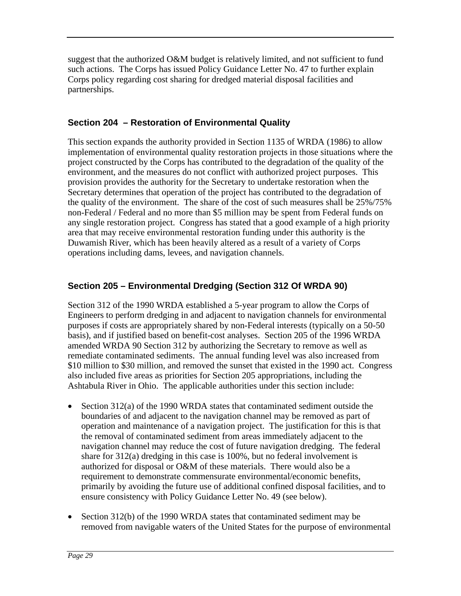suggest that the authorized O&M budget is relatively limited, and not sufficient to fund such actions. The Corps has issued Policy Guidance Letter No. 47 to further explain Corps policy regarding cost sharing for dredged material disposal facilities and partnerships.

#### **Section 204 – Restoration of Environmental Quality**

This section expands the authority provided in Section 1135 of WRDA (1986) to allow implementation of environmental quality restoration projects in those situations where the project constructed by the Corps has contributed to the degradation of the quality of the environment, and the measures do not conflict with authorized project purposes. This provision provides the authority for the Secretary to undertake restoration when the Secretary determines that operation of the project has contributed to the degradation of the quality of the environment. The share of the cost of such measures shall be 25%/75% non-Federal / Federal and no more than \$5 million may be spent from Federal funds on any single restoration project. Congress has stated that a good example of a high priority area that may receive environmental restoration funding under this authority is the Duwamish River, which has been heavily altered as a result of a variety of Corps operations including dams, levees, and navigation channels.

#### **Section 205 – Environmental Dredging (Section 312 Of WRDA 90)**

Section 312 of the 1990 WRDA established a 5-year program to allow the Corps of Engineers to perform dredging in and adjacent to navigation channels for environmental purposes if costs are appropriately shared by non-Federal interests (typically on a 50-50 basis), and if justified based on benefit-cost analyses. Section 205 of the 1996 WRDA amended WRDA 90 Section 312 by authorizing the Secretary to remove as well as remediate contaminated sediments. The annual funding level was also increased from \$10 million to \$30 million, and removed the sunset that existed in the 1990 act. Congress also included five areas as priorities for Section 205 appropriations, including the Ashtabula River in Ohio. The applicable authorities under this section include:

- Section 312(a) of the 1990 WRDA states that contaminated sediment outside the boundaries of and adjacent to the navigation channel may be removed as part of operation and maintenance of a navigation project. The justification for this is that the removal of contaminated sediment from areas immediately adjacent to the navigation channel may reduce the cost of future navigation dredging. The federal share for 312(a) dredging in this case is 100%, but no federal involvement is authorized for disposal or O&M of these materials. There would also be a requirement to demonstrate commensurate environmental/economic benefits, primarily by avoiding the future use of additional confined disposal facilities, and to ensure consistency with Policy Guidance Letter No. 49 (see below).
- Section 312(b) of the 1990 WRDA states that contaminated sediment may be removed from navigable waters of the United States for the purpose of environmental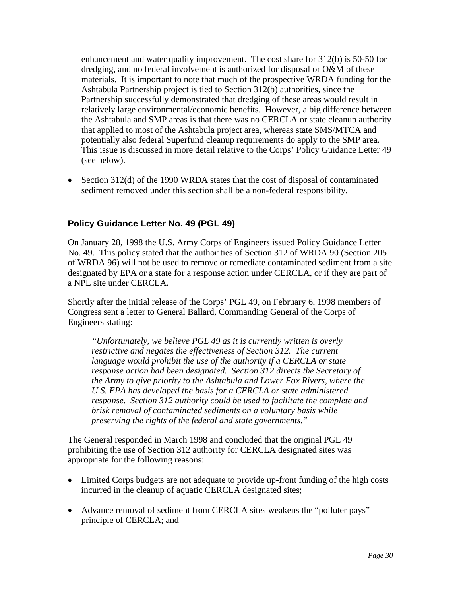enhancement and water quality improvement. The cost share for 312(b) is 50-50 for dredging, and no federal involvement is authorized for disposal or O&M of these materials. It is important to note that much of the prospective WRDA funding for the Ashtabula Partnership project is tied to Section 312(b) authorities, since the Partnership successfully demonstrated that dredging of these areas would result in relatively large environmental/economic benefits. However, a big difference between the Ashtabula and SMP areas is that there was no CERCLA or state cleanup authority that applied to most of the Ashtabula project area, whereas state SMS/MTCA and potentially also federal Superfund cleanup requirements do apply to the SMP area. This issue is discussed in more detail relative to the Corps' Policy Guidance Letter 49 (see below).

 Section 312(d) of the 1990 WRDA states that the cost of disposal of contaminated sediment removed under this section shall be a non-federal responsibility.

#### **Policy Guidance Letter No. 49 (PGL 49)**

On January 28, 1998 the U.S. Army Corps of Engineers issued Policy Guidance Letter No. 49. This policy stated that the authorities of Section 312 of WRDA 90 (Section 205 of WRDA 96) will not be used to remove or remediate contaminated sediment from a site designated by EPA or a state for a response action under CERCLA, or if they are part of a NPL site under CERCLA.

Shortly after the initial release of the Corps' PGL 49, on February 6, 1998 members of Congress sent a letter to General Ballard, Commanding General of the Corps of Engineers stating:

*"Unfortunately, we believe PGL 49 as it is currently written is overly restrictive and negates the effectiveness of Section 312. The current language would prohibit the use of the authority if a CERCLA or state response action had been designated. Section 312 directs the Secretary of the Army to give priority to the Ashtabula and Lower Fox Rivers, where the U.S. EPA has developed the basis for a CERCLA or state administered response. Section 312 authority could be used to facilitate the complete and brisk removal of contaminated sediments on a voluntary basis while preserving the rights of the federal and state governments."*

The General responded in March 1998 and concluded that the original PGL 49 prohibiting the use of Section 312 authority for CERCLA designated sites was appropriate for the following reasons:

- Limited Corps budgets are not adequate to provide up-front funding of the high costs incurred in the cleanup of aquatic CERCLA designated sites;
- Advance removal of sediment from CERCLA sites weakens the "polluter pays" principle of CERCLA; and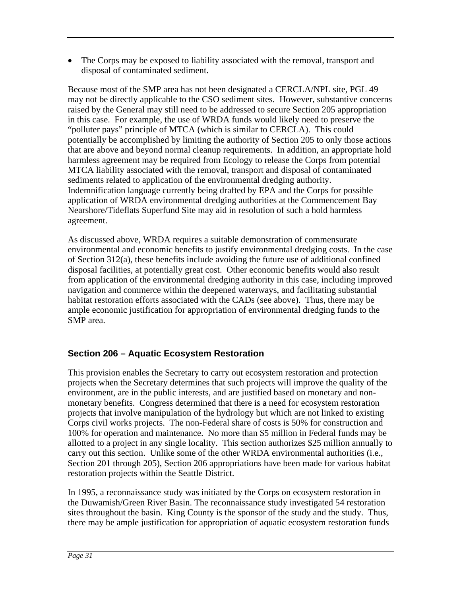• The Corps may be exposed to liability associated with the removal, transport and disposal of contaminated sediment.

Because most of the SMP area has not been designated a CERCLA/NPL site, PGL 49 may not be directly applicable to the CSO sediment sites. However, substantive concerns raised by the General may still need to be addressed to secure Section 205 appropriation in this case. For example, the use of WRDA funds would likely need to preserve the "polluter pays" principle of MTCA (which is similar to CERCLA). This could potentially be accomplished by limiting the authority of Section 205 to only those actions that are above and beyond normal cleanup requirements. In addition, an appropriate hold harmless agreement may be required from Ecology to release the Corps from potential MTCA liability associated with the removal, transport and disposal of contaminated sediments related to application of the environmental dredging authority. Indemnification language currently being drafted by EPA and the Corps for possible application of WRDA environmental dredging authorities at the Commencement Bay Nearshore/Tideflats Superfund Site may aid in resolution of such a hold harmless agreement.

As discussed above, WRDA requires a suitable demonstration of commensurate environmental and economic benefits to justify environmental dredging costs. In the case of Section 312(a), these benefits include avoiding the future use of additional confined disposal facilities, at potentially great cost. Other economic benefits would also result from application of the environmental dredging authority in this case, including improved navigation and commerce within the deepened waterways, and facilitating substantial habitat restoration efforts associated with the CADs (see above). Thus, there may be ample economic justification for appropriation of environmental dredging funds to the SMP area.

## **Section 206 – Aquatic Ecosystem Restoration**

This provision enables the Secretary to carry out ecosystem restoration and protection projects when the Secretary determines that such projects will improve the quality of the environment, are in the public interests, and are justified based on monetary and nonmonetary benefits. Congress determined that there is a need for ecosystem restoration projects that involve manipulation of the hydrology but which are not linked to existing Corps civil works projects. The non-Federal share of costs is 50% for construction and 100% for operation and maintenance. No more than \$5 million in Federal funds may be allotted to a project in any single locality. This section authorizes \$25 million annually to carry out this section. Unlike some of the other WRDA environmental authorities (i.e., Section 201 through 205), Section 206 appropriations have been made for various habitat restoration projects within the Seattle District.

In 1995, a reconnaissance study was initiated by the Corps on ecosystem restoration in the Duwamish/Green River Basin. The reconnaissance study investigated 54 restoration sites throughout the basin. King County is the sponsor of the study and the study. Thus, there may be ample justification for appropriation of aquatic ecosystem restoration funds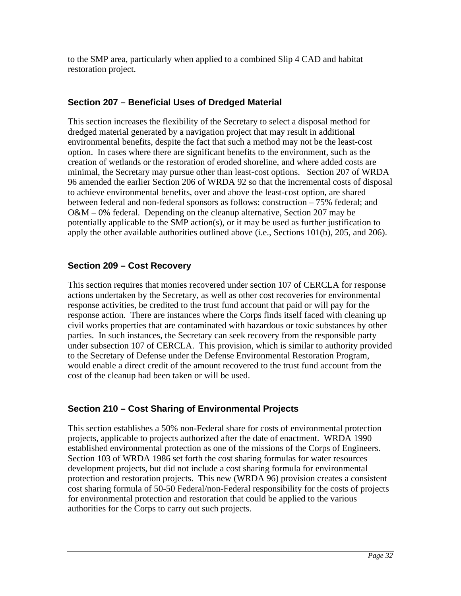to the SMP area, particularly when applied to a combined Slip 4 CAD and habitat restoration project.

## **Section 207 – Beneficial Uses of Dredged Material**

This section increases the flexibility of the Secretary to select a disposal method for dredged material generated by a navigation project that may result in additional environmental benefits, despite the fact that such a method may not be the least-cost option. In cases where there are significant benefits to the environment, such as the creation of wetlands or the restoration of eroded shoreline, and where added costs are minimal, the Secretary may pursue other than least-cost options. Section 207 of WRDA 96 amended the earlier Section 206 of WRDA 92 so that the incremental costs of disposal to achieve environmental benefits, over and above the least-cost option, are shared between federal and non-federal sponsors as follows: construction – 75% federal; and O&M – 0% federal. Depending on the cleanup alternative, Section 207 may be potentially applicable to the SMP action(s), or it may be used as further justification to apply the other available authorities outlined above (i.e., Sections 101(b), 205, and 206).

### **Section 209 – Cost Recovery**

This section requires that monies recovered under section 107 of CERCLA for response actions undertaken by the Secretary, as well as other cost recoveries for environmental response activities, be credited to the trust fund account that paid or will pay for the response action. There are instances where the Corps finds itself faced with cleaning up civil works properties that are contaminated with hazardous or toxic substances by other parties. In such instances, the Secretary can seek recovery from the responsible party under subsection 107 of CERCLA. This provision, which is similar to authority provided to the Secretary of Defense under the Defense Environmental Restoration Program, would enable a direct credit of the amount recovered to the trust fund account from the cost of the cleanup had been taken or will be used.

## **Section 210 – Cost Sharing of Environmental Projects**

This section establishes a 50% non-Federal share for costs of environmental protection projects, applicable to projects authorized after the date of enactment. WRDA 1990 established environmental protection as one of the missions of the Corps of Engineers. Section 103 of WRDA 1986 set forth the cost sharing formulas for water resources development projects, but did not include a cost sharing formula for environmental protection and restoration projects. This new (WRDA 96) provision creates a consistent cost sharing formula of 50-50 Federal/non-Federal responsibility for the costs of projects for environmental protection and restoration that could be applied to the various authorities for the Corps to carry out such projects.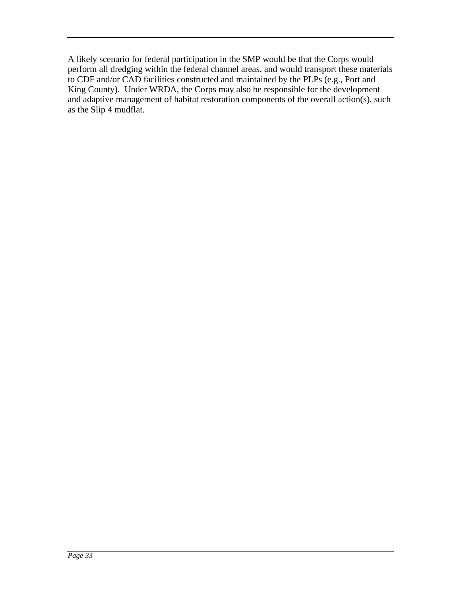A likely scenario for federal participation in the SMP would be that the Corps would perform all dredging within the federal channel areas, and would transport these materials to CDF and/or CAD facilities constructed and maintained by the PLPs (e.g., Port and King County). Under WRDA, the Corps may also be responsible for the development and adaptive management of habitat restoration components of the overall action(s), such as the Slip 4 mudflat.